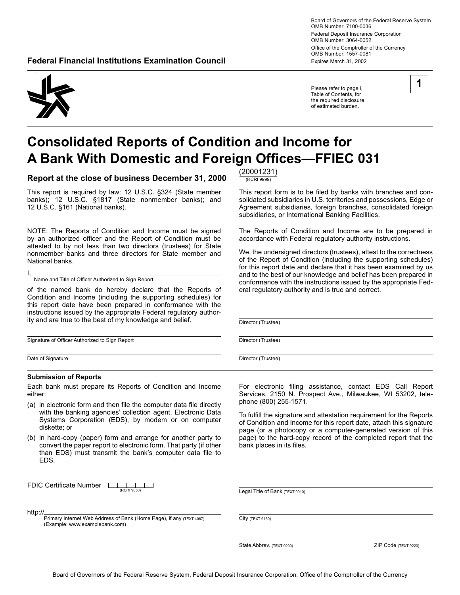Board of Governors of the Federal Reserve System OMB Number: 7100-0036 Federal Deposit Insurance Corporation OMB Number: 3064-0052 Office of the Comptroller of the Currency OMB Number: 1557-0081 **Federal Financial Institutions Examination Council**  Expires March 31, 2002

Please refer to page i, Table of Contents, for the required disclosure of estimated burden.



# **Consolidated Reports of Condition and Income for A Bank With Domestic and Foreign Offices-FFIEC 031**

**Report at the close of business December 31, 2000**  $\frac{(20001231)}{(RCRI 9999)}$ 

This report is required by law: 12 U.S.C. §324 (State member banks); 12 U.S.C. §1817 (State nonmember banks); and 12 U.S.C. §161 (National banks).

NOTE: The Reports of Condition and Income must be signed by an authorized officer and the Report of Condition must be attested to by not less than two directors (trustees) for State nonmember banks and three directors for State member and National banks.

I, Name and Title of Officer Authorized to Sign Report

of the named bank do hereby declare that the Reports of Condition and Income (including the supporting schedules) for this report date have been prepared in conformance with the instructions issued by the appropriate Federal regulatory authority and are true to the best of my knowledge and belief.

Signature of Officer Authorized to Sign Report

Date of Signature

#### **Submission of Reports**

Each bank must prepare its Reports of Condition and Income either:

- (a) in electronic form and then file the computer data file directly with the banking agencies' collection agent, Electronic Data Systems Corporation (EDS), by modem or on computer diskette; or
- (b) in hard-copy (paper) form and arrange for another party to convert the paper report to electronic form. That party (if other than EDS) must transmit the bank's computer data file to EDS.

FDIC Certificate Number L

http://

Primary Internet Web Address of Bank (Home Page), if any (TEXT 4087) City (TEXT 9130) (Example: www.examplebank.com)

This report form is to be filed by banks with branches and consolidated subsidiaries in U.S. territories and possessions, Edge or Agreement subsidiaries, foreign branches, consolidated foreign subsidiaries, or International Banking Facilities.

The Reports of Condition and Income are to be prepared in accordance with Federal regulatory authority instructions.

We, the undersigned directors (trustees), attest to the correctness of the Report of Condition (including the supporting schedules) for this report date and declare that it has been examined by us and to the best of our knowledge and belief has been prepared in conformance with the instructions issued by the appropriate Federal regulatory authority and is true and correct.

Director (Trustee)

Director (Trustee)

Director (Trustee)

For electronic filing assistance, contact EDS Call Report Services, 2150 N. Prospect Ave., Milwaukee, WI 53202, telephone (800) 255-1571.

To fulfill the signature and attestation requirement for the Reports of Condition and Income for this report date, attach this signature page (or a photocopy or a computer-generated version of this page) to the hard-copy record of the completed report that the bank places in its files.

Legal Title of Bank (TEXT 9010) (RCRI 9050)

State Abbrev. (TEXT 9200) ZIP Code (TEXT 9220)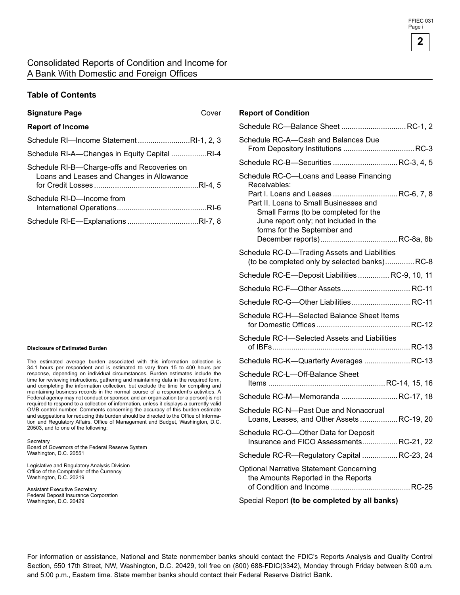#### Consolidated Reports of Condition and Income for A Bank With Domestic and Foreign Offices

#### **Table of Contents**

#### **Signature Page** Cover

| <b>Report of Income</b>                                                                  |
|------------------------------------------------------------------------------------------|
| Schedule RI-Income StatementRI-1, 2, 3                                                   |
| Schedule RI-A-Changes in Equity Capital RI-4                                             |
| Schedule RI-B-Charge-offs and Recoveries on<br>Loans and Leases and Changes in Allowance |
| Schedule RI-D-Income from                                                                |
|                                                                                          |

#### **Disclosure of Estimated Burden**

The estimated average burden associated with this information collection is 34.1 hours per respondent and is estimated to vary from 15 to 400 hours per response, depending on individual circumstances. Burden estimates include the time for reviewing instructions, gathering and maintaining data in the required form, and completing the information collection, but exclude the time for compiling and maintaining business records in the normal course of a respondent's activities. A Federal agency may not conduct or sponsor, and an organization (or a person) is not required to respond to a collection of information, unless it displays a currently valid OMB control number. Comments concerning the accuracy of this burden estimate and suggestions for reducing this burden should be directed to the Office of Information and Regulatory Affairs, Office of Management and Budget, Washington, D.C. 20503, and to one of the following:

**Secretary** Board of Governors of the Federal Reserve System Washington, D.C. 20551

Legislative and Regulatory Analysis Division Office of the Comptroller of the Currency Washington, D.C. 20219

Assistant Executive Secretary Federal Deposit Insurance Corporation Washington, D.C. 20429

#### **Report of Condition**

| Schedule RC-Balance Sheet  RC-1, 2                                                                                                                                                                                                                       |
|----------------------------------------------------------------------------------------------------------------------------------------------------------------------------------------------------------------------------------------------------------|
| Schedule RC-A-Cash and Balances Due<br>From Depository Institutions  RC-3                                                                                                                                                                                |
| Schedule RC-B-Securities  RC-3, 4, 5                                                                                                                                                                                                                     |
| Schedule RC-C-Loans and Lease Financing<br>Receivables:<br>Part I. Loans and Leases RC-6, 7, 8<br>Part II. Loans to Small Businesses and<br>Small Farms (to be completed for the<br>June report only; not included in the<br>forms for the September and |
| Schedule RC-D-Trading Assets and Liabilities<br>(to be completed only by selected banks)RC-8                                                                                                                                                             |
| Schedule RC-E-Deposit Liabilities  RC-9, 10, 11                                                                                                                                                                                                          |
|                                                                                                                                                                                                                                                          |
| Schedule RC-G-Other Liabilities RC-11                                                                                                                                                                                                                    |
| Schedule RC-H-Selected Balance Sheet Items                                                                                                                                                                                                               |
| Schedule RC-I-Selected Assets and Liabilities                                                                                                                                                                                                            |
| Schedule RC-K-Quarterly Averages  RC-13                                                                                                                                                                                                                  |
| Schedule RC-L-Off-Balance Sheet                                                                                                                                                                                                                          |
| Schedule RC-M-Memoranda RC-17, 18                                                                                                                                                                                                                        |
| Schedule RC-N-Past Due and Nonaccrual<br>Loans, Leases, and Other Assets RC-19, 20                                                                                                                                                                       |
| Schedule RC-O-Other Data for Deposit<br>Insurance and FICO AssessmentsRC-21, 22                                                                                                                                                                          |
| Schedule RC-R-Regulatory Capital  RC-23, 24                                                                                                                                                                                                              |
| <b>Optional Narrative Statement Concerning</b><br>the Amounts Reported in the Reports                                                                                                                                                                    |
| Special Report (to be completed by all banks)                                                                                                                                                                                                            |

For information or assistance, National and State nonmember banks should contact the FDIC's Reports Analysis and Quality Control Section, 550 17th Street, NW, Washington, D.C. 20429, toll free on (800) 688-FDIC(3342), Monday through Friday between 8:00 a.m. and 5:00 p.m., Eastern time. State member banks should contact their Federal Reserve District Bank.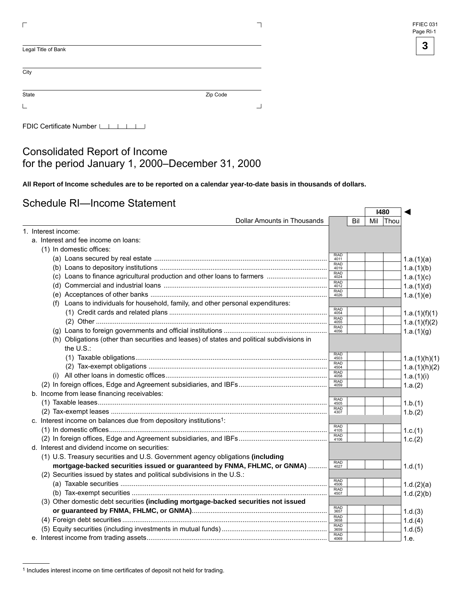| FFIEC 031 |  |
|-----------|--|
| Page RI-1 |  |

**I480** 

 $\Gamma$ 

◄

| Legal Title of Bank |          |
|---------------------|----------|
| City                |          |
| State               | Zip Code |
|                     |          |

FDIC Certificate Number LILILI

### Consolidated Report of Income for the period January 1, 2000–December 31, 2000

**All Report of Income schedules are to be reported on a calendar year-to-date basis in thousands of dollars.** 

### Schedule RI—Income Statement

|                                                                                                         |                      |     | 148U |      |               |
|---------------------------------------------------------------------------------------------------------|----------------------|-----|------|------|---------------|
| Dollar Amounts in Thousands                                                                             |                      | Bil | Mil  | Thou |               |
| 1. Interest income:                                                                                     |                      |     |      |      |               |
| a. Interest and fee income on loans:                                                                    |                      |     |      |      |               |
| (1) In domestic offices:                                                                                |                      |     |      |      |               |
|                                                                                                         | <b>RIAD</b><br>4011  |     |      |      | 1.a.(1)(a)    |
|                                                                                                         | <b>RIAD</b><br>4019  |     |      |      | 1.a.(1)(b)    |
|                                                                                                         | <b>RIAD</b><br>4024  |     |      |      | 1.a.(1)(c)    |
|                                                                                                         | RIAD<br>4012         |     |      |      | 1.a.(1)(d)    |
|                                                                                                         | RIAD<br>4026         |     |      |      | 1.a.(1)(e)    |
| (f) Loans to individuals for household, family, and other personal expenditures:                        |                      |     |      |      |               |
|                                                                                                         | <b>RIAD</b><br>4054  |     |      |      | 1.a.(1)(f)(1) |
|                                                                                                         | <b>RIAD</b><br>4055  |     |      |      | 1.a.(1)(f)(2) |
|                                                                                                         | <b>RIAD</b><br>4056  |     |      |      | 1.a.(1)(g)    |
| (h) Obligations (other than securities and leases) of states and political subdivisions in<br>the U.S.: |                      |     |      |      |               |
|                                                                                                         | RIAD<br>4503         |     |      |      |               |
|                                                                                                         | <b>RIAD</b>          |     |      |      | 1.a.(1)(h)(1) |
|                                                                                                         | 4504<br>RIAD<br>4058 |     |      |      | 1.a.(1)(h)(2) |
|                                                                                                         | RIAD<br>4059         |     |      |      | 1.a.(1)(i)    |
|                                                                                                         |                      |     |      |      | 1.a.(2)       |
| b. Income from lease financing receivables:                                                             | RIAD<br>4505         |     |      |      |               |
|                                                                                                         | <b>RIAD</b>          |     |      |      | 1.b.(1)       |
|                                                                                                         | 4307                 |     |      |      | 1.b.(2)       |
| c. Interest income on balances due from depository institutions <sup>1</sup> :                          | <b>RIAD</b>          |     |      |      |               |
|                                                                                                         | 4105<br>RIAD<br>4106 |     |      |      | 1.c.(1)       |
|                                                                                                         |                      |     |      |      | 1.c.(2)       |
| d. Interest and dividend income on securities:                                                          |                      |     |      |      |               |
| (1) U.S. Treasury securities and U.S. Government agency obligations (including                          | RIAD<br>4027         |     |      |      |               |
| mortgage-backed securities issued or guaranteed by FNMA, FHLMC, or GNMA)                                |                      |     |      |      | 1.d.(1)       |
| (2) Securities issued by states and political subdivisions in the U.S.:                                 | <b>RIAD</b>          |     |      |      |               |
|                                                                                                         | 4506                 |     |      |      | 1.d.(2)(a)    |
|                                                                                                         | RIAD<br>4507         |     |      |      | 1.d.(2)(b)    |
| (3) Other domestic debt securities (including mortgage-backed securities not issued                     |                      |     |      |      |               |
|                                                                                                         | RIAD<br>3657         |     |      |      | 1.d.(3)       |
|                                                                                                         | RIAD<br>3658         |     |      |      | 1.d.(4)       |
|                                                                                                         | RIAD<br>3659         |     |      |      | 1.d.(5)       |
|                                                                                                         | RIAD<br>4069         |     |      |      | 1.e.          |

<sup>1</sup> Includes interest income on time certificates of deposit not held for trading.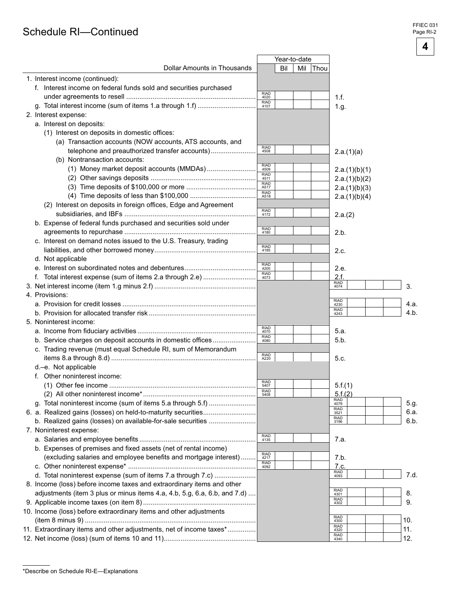### Schedule RI-Continued

**4** 

|                                                                           |                     | Year-to-date |                             |                 |
|---------------------------------------------------------------------------|---------------------|--------------|-----------------------------|-----------------|
| <b>Dollar Amounts in Thousands</b>                                        | Bil                 | Mil<br> Thou |                             |                 |
| 1. Interest income (continued):                                           |                     |              |                             |                 |
| f. Interest income on federal funds sold and securities purchased         | <b>RIAD</b>         |              |                             |                 |
|                                                                           | 4020<br><b>RIAD</b> |              | 1.f.                        |                 |
| g. Total interest income (sum of items 1.a through 1.f)                   | 4107                |              | 1.g.                        |                 |
| 2. Interest expense:                                                      |                     |              |                             |                 |
| a. Interest on deposits:                                                  |                     |              |                             |                 |
| (1) Interest on deposits in domestic offices:                             |                     |              |                             |                 |
| (a) Transaction accounts (NOW accounts, ATS accounts, and                 |                     |              |                             |                 |
| telephone and preauthorized transfer accounts)                            | RIAD<br>4508        |              | 2.a.(1)(a)                  |                 |
| (b) Nontransaction accounts:                                              |                     |              |                             |                 |
|                                                                           | RIAD<br>4509        |              | 2.a.(1)(b)(1)               |                 |
|                                                                           | <b>RIAD</b><br>4511 |              | 2.a.(1)(b)(2)               |                 |
|                                                                           | RIAD<br>A517        |              | 2.a.(1)(b)(3)               |                 |
|                                                                           | <b>RIAD</b><br>A518 |              | 2.a.(1)(b)(4)               |                 |
| (2) Interest on deposits in foreign offices, Edge and Agreement           |                     |              |                             |                 |
|                                                                           | RIAD<br>4172        |              | 2.a.(2)                     |                 |
| b. Expense of federal funds purchased and securities sold under           |                     |              |                             |                 |
|                                                                           | RIAD<br>4180        |              | 2.b.                        |                 |
| c. Interest on demand notes issued to the U.S. Treasury, trading          |                     |              |                             |                 |
|                                                                           | RIAD<br>4185        |              | 2.c.                        |                 |
| d. Not applicable                                                         |                     |              |                             |                 |
|                                                                           | RIAD<br>4200        |              | 2.e.                        |                 |
|                                                                           | RIAD<br>4073        |              | 2.f.                        |                 |
|                                                                           |                     |              | RIAD<br>4074                |                 |
| 4. Provisions:                                                            |                     |              |                             | 3.              |
|                                                                           |                     |              | RIAD<br>4230                |                 |
|                                                                           |                     |              | <b>RIAD</b>                 | 4.a.<br>$4.b$ . |
|                                                                           |                     |              | 4243                        |                 |
| 5. Noninterest income:                                                    | RIAD<br>4070        |              |                             |                 |
|                                                                           | <b>RIAD</b>         |              | 5.a.                        |                 |
| b. Service charges on deposit accounts in domestic offices                | 4080                |              | 5.b.                        |                 |
| c. Trading revenue (must equal Schedule RI, sum of Memorandum             | RIAD<br>A220        |              |                             |                 |
|                                                                           |                     |              | 5.c.                        |                 |
| d.-e. Not applicable                                                      |                     |              |                             |                 |
| f. Other noninterest income:                                              | <b>RIAD</b>         |              |                             |                 |
|                                                                           | 5407                |              | 5.f.(1)                     |                 |
|                                                                           | RIAD<br>5408        |              | 5.f.(2)                     |                 |
| g. Total noninterest income (sum of items 5.a through 5.f)                |                     |              | RIAD<br>4079                | 5.g.            |
| 6. a. Realized gains (losses) on held-to-maturity securities              |                     |              | RIAD<br>3521<br><b>RIAD</b> | 6.a.            |
| b. Realized gains (losses) on available-for-sale securities               |                     |              | 3196                        | 6.b.            |
| 7. Noninterest expense:                                                   |                     |              |                             |                 |
|                                                                           | RIAD<br>4135        |              | 7.a.                        |                 |
| b. Expenses of premises and fixed assets (net of rental income)           |                     |              |                             |                 |
| (excluding salaries and employee benefits and mortgage interest)          | RIAD<br>4217        |              | 7.b.                        |                 |
|                                                                           | <b>RIAD</b>         |              | <u>7.c.</u>                 |                 |
| d. Total noninterest expense (sum of items 7.a through 7.c)               |                     |              | RIAD<br>4093                | 7.d.            |
| 8. Income (loss) before income taxes and extraordinary items and other    |                     |              |                             |                 |
| adjustments (item 3 plus or minus items 4.a, 4.b, 5.g, 6.a, 6.b, and 7.d) |                     |              | <b>RIAD</b><br>4301         | 8.              |
|                                                                           |                     |              | <b>RIAD</b><br>4302         | 9.              |
| 10. Income (loss) before extraordinary items and other adjustments        |                     |              |                             |                 |
|                                                                           |                     |              | RIAD<br>4300                | 10.             |
| 11. Extraordinary items and other adjustments, net of income taxes*       |                     |              | <b>RIAD</b><br>4320         | 11.             |
|                                                                           |                     |              | <b>RIAD</b><br>4340         | 12.             |
|                                                                           |                     |              |                             |                 |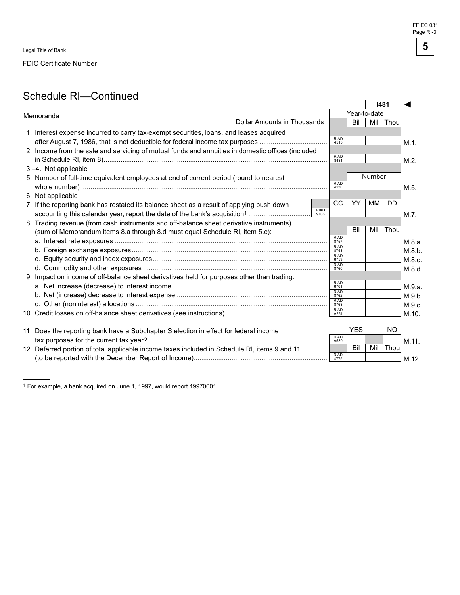FDIC Certificate Number

### Schedule RI—Continued

|                                                                                                   |                     | 1481                |              |        |           |         |
|---------------------------------------------------------------------------------------------------|---------------------|---------------------|--------------|--------|-----------|---------|
| Memoranda                                                                                         |                     |                     | Year-to-date |        |           |         |
| Dollar Amounts in Thousands                                                                       |                     |                     | Bil          | Mil    | Thou      |         |
| 1. Interest expense incurred to carry tax-exempt securities, loans, and leases acquired           |                     |                     |              |        |           |         |
| after August 7, 1986, that is not deductible for federal income tax purposes                      |                     | <b>RIAD</b><br>4513 |              |        |           | M.1.    |
| 2. Income from the sale and servicing of mutual funds and annuities in domestic offices (included |                     |                     |              |        |           |         |
|                                                                                                   |                     | <b>RIAD</b><br>8431 |              |        |           | $M.2$ . |
| 3.-4. Not applicable                                                                              |                     |                     |              |        |           |         |
| 5. Number of full-time equivalent employees at end of current period (round to nearest            |                     |                     |              | Number |           |         |
|                                                                                                   |                     | <b>RIAD</b><br>4150 |              |        |           | M.5.    |
| 6. Not applicable                                                                                 |                     |                     |              |        |           |         |
| 7. If the reporting bank has restated its balance sheet as a result of applying push down         |                     | <b>CC</b>           | YY           | MM     | <b>DD</b> |         |
|                                                                                                   | <b>RIAD</b><br>9106 |                     |              |        |           | $M.7$ . |
| 8. Trading revenue (from cash instruments and off-balance sheet derivative instruments)           |                     |                     |              |        |           |         |
| (sum of Memorandum items 8.a through 8.d must equal Schedule RI, item 5.c):                       |                     |                     | Bil          | Mil    | Thou      |         |
|                                                                                                   |                     | <b>RIAD</b><br>8757 |              |        |           | M.8.a.  |
|                                                                                                   |                     | <b>RIAD</b><br>8758 |              |        |           | M.8.b.  |
|                                                                                                   |                     | <b>RIAD</b><br>8759 |              |        |           | M.8.c.  |
|                                                                                                   |                     | RIAD<br>8760        |              |        |           | M.8.d.  |
| 9. Impact on income of off-balance sheet derivatives held for purposes other than trading:        |                     |                     |              |        |           |         |
|                                                                                                   |                     | <b>RIAD</b><br>8761 |              |        |           | M.9.a.  |
|                                                                                                   |                     | <b>RIAD</b><br>8762 |              |        |           | M.9.b.  |
|                                                                                                   |                     | <b>RIAD</b><br>8763 |              |        |           | M.9.c.  |
|                                                                                                   |                     | <b>RIAD</b><br>A251 |              |        |           | M.10.   |
|                                                                                                   |                     |                     |              |        |           |         |
| 11. Does the reporting bank have a Subchapter S election in effect for federal income             |                     | <b>RIAD</b>         | <b>YES</b>   |        | NO.       |         |
|                                                                                                   |                     | A530                |              |        |           | M.11.   |
| 12. Deferred portion of total applicable income taxes included in Schedule RI, items 9 and 11     |                     | <b>RIAD</b>         | Bil          | Mil    | Thou      |         |
|                                                                                                   |                     | 4772                |              |        |           | M.12.   |

<sup>1</sup> For example, a bank acquired on June 1, 1997, would report 19970601.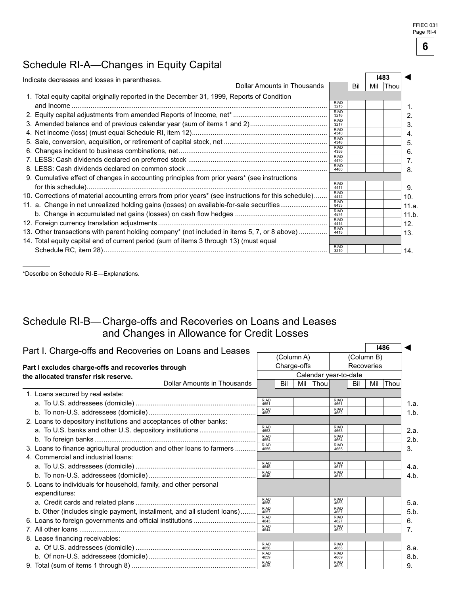### Schedule RI-A—Changes in Equity Capital

| Indicate decreases and losses in parentheses.                                                        |                             |                     |     | 1483 |      |  |
|------------------------------------------------------------------------------------------------------|-----------------------------|---------------------|-----|------|------|--|
|                                                                                                      | Dollar Amounts in Thousands |                     | Bil | Mil  | Thou |  |
| 1. Total equity capital originally reported in the December 31, 1999, Reports of Condition           |                             |                     |     |      |      |  |
|                                                                                                      |                             | <b>RIAD</b><br>3215 |     |      |      |  |
|                                                                                                      |                             | <b>RIAD</b><br>3216 |     |      |      |  |
|                                                                                                      |                             | <b>RIAD</b><br>3217 |     |      |      |  |
|                                                                                                      |                             | <b>RIAD</b><br>4340 |     |      |      |  |
|                                                                                                      |                             | <b>RIAD</b><br>4346 |     |      |      |  |
|                                                                                                      |                             | <b>RIAD</b><br>4356 |     |      |      |  |
|                                                                                                      |                             | <b>RIAD</b><br>4470 |     |      |      |  |
|                                                                                                      |                             | <b>RIAD</b><br>4460 |     |      |      |  |
| 9. Cumulative effect of changes in accounting principles from prior years* (see instructions         |                             |                     |     |      |      |  |
|                                                                                                      |                             | <b>RIAD</b><br>4411 |     |      |      |  |
| 10. Corrections of material accounting errors from prior years* (see instructions for this schedule) |                             | <b>RIAD</b><br>4412 |     |      |      |  |
| 11. a. Change in net unrealized holding gains (losses) on available-for-sale securities              |                             | <b>RIAD</b><br>8433 |     |      |      |  |
|                                                                                                      |                             | <b>RIAD</b><br>4574 |     |      |      |  |
|                                                                                                      |                             | <b>RIAD</b>         |     |      |      |  |
|                                                                                                      |                             | 4414<br><b>RIAD</b> |     |      |      |  |
| 13. Other transactions with parent holding company* (not included in items 5, 7, or 8 above)         |                             | 4415                |     |      |      |  |
| 14. Total equity capital end of current period (sum of items 3 through 13) (must equal               |                             | <b>RIAD</b>         |     |      |      |  |
|                                                                                                      |                             | 3210                |     |      |      |  |

\*Describe on Schedule RI-E—Explanations.

### Schedule RI-B— Charge-offs and Recoveries on Loans and Leases and Changes in Allowance for Credit Losses

| Part I. Charge-offs and Recoveries on Loans and Leases                 |                     |             |  |                       |                     |            |            | 1486     |
|------------------------------------------------------------------------|---------------------|-------------|--|-----------------------|---------------------|------------|------------|----------|
| (Column A)                                                             |                     |             |  |                       |                     |            | (Column B) |          |
| Part I excludes charge-offs and recoveries through                     |                     | Charge-offs |  |                       |                     | Recoveries |            |          |
| the allocated transfer risk reserve.                                   |                     |             |  | Calendar year-to-date |                     |            |            |          |
| <b>Dollar Amounts in Thousands</b>                                     |                     | Bil         |  | Mil Thou              |                     | Bil        | Mil        | $ $ Thou |
| 1. Loans secured by real estate:                                       |                     |             |  |                       |                     |            |            |          |
|                                                                        | <b>RIAD</b><br>4651 |             |  |                       | <b>RIAD</b><br>4661 |            |            |          |
|                                                                        | RIAD<br>4652        |             |  |                       | <b>RIAD</b><br>4662 |            |            |          |
| 2. Loans to depository institutions and acceptances of other banks:    |                     |             |  |                       |                     |            |            |          |
|                                                                        | <b>RIAD</b><br>4653 |             |  |                       | <b>RIAD</b><br>4663 |            |            |          |
|                                                                        | <b>RIAD</b><br>4654 |             |  |                       | <b>RIAD</b><br>4664 |            |            |          |
| 3. Loans to finance agricultural production and other loans to farmers | RIAD<br>4655        |             |  |                       | <b>RIAD</b><br>4665 |            |            |          |
| 4. Commercial and industrial loans:                                    |                     |             |  |                       |                     |            |            |          |
|                                                                        | <b>RIAD</b><br>4645 |             |  |                       | <b>RIAD</b><br>4617 |            |            |          |
|                                                                        | <b>RIAD</b><br>4646 |             |  |                       | <b>RIAD</b><br>4618 |            |            |          |
| 5. Loans to individuals for household, family, and other personal      |                     |             |  |                       |                     |            |            |          |
| expenditures:                                                          |                     |             |  |                       |                     |            |            |          |
|                                                                        | <b>RIAD</b><br>4656 |             |  |                       | <b>RIAD</b><br>4666 |            |            |          |
| b. Other (includes single payment, installment, and all student loans) | <b>RIAD</b><br>4657 |             |  |                       | <b>RIAD</b><br>4667 |            |            |          |
|                                                                        | <b>RIAD</b><br>4643 |             |  |                       | <b>RIAD</b><br>4627 |            |            |          |
|                                                                        | <b>RIAD</b><br>4644 |             |  |                       | <b>RIAD</b><br>4628 |            |            |          |
| 8. Lease financing receivables:                                        |                     |             |  |                       |                     |            |            |          |
|                                                                        | <b>RIAD</b><br>4658 |             |  |                       | <b>RIAD</b><br>4668 |            |            |          |
|                                                                        | <b>RIAD</b><br>4659 |             |  |                       | <b>RIAD</b><br>4669 |            |            |          |
|                                                                        | <b>RIAD</b><br>4635 |             |  |                       | <b>RIAD</b><br>4605 |            |            |          |

**6**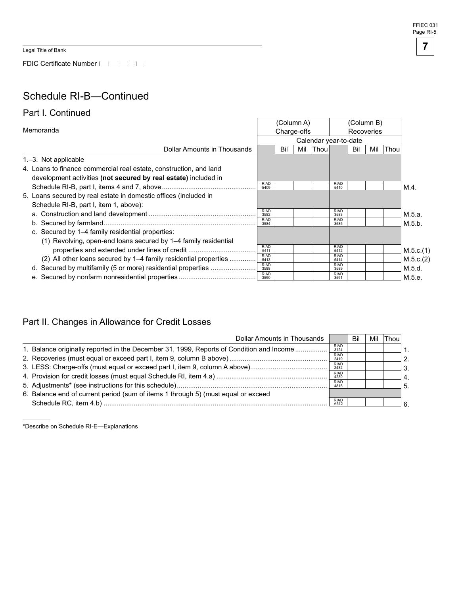Legal Title of Bank

FDIC Certificate Number

### Schedule RI-B—Continued

### Part I. Continued

|                                                                    |                     |     | (Column A)  |                       |                     | (Column B) |     |             |           |
|--------------------------------------------------------------------|---------------------|-----|-------------|-----------------------|---------------------|------------|-----|-------------|-----------|
| Memoranda                                                          |                     |     | Charge-offs |                       |                     | Recoveries |     |             |           |
|                                                                    |                     |     |             | Calendar year-to-date |                     |            |     |             |           |
| Dollar Amounts in Thousands                                        |                     | Bil | Mil         | <b>Thou</b>           |                     | Bil        | Mil | <b>Thou</b> |           |
| 1.-3. Not applicable                                               |                     |     |             |                       |                     |            |     |             |           |
| 4. Loans to finance commercial real estate, construction, and land |                     |     |             |                       |                     |            |     |             |           |
| development activities (not secured by real estate) included in    |                     |     |             |                       |                     |            |     |             |           |
|                                                                    | <b>RIAD</b><br>5409 |     |             |                       | <b>RIAD</b><br>5410 |            |     |             | $M.4$ .   |
| 5. Loans secured by real estate in domestic offices (included in   |                     |     |             |                       |                     |            |     |             |           |
| Schedule RI-B, part I, item 1, above):                             |                     |     |             |                       |                     |            |     |             |           |
|                                                                    | <b>RIAD</b><br>3582 |     |             |                       | <b>RIAD</b><br>3583 |            |     |             | M.5.a.    |
|                                                                    | <b>RIAD</b><br>3584 |     |             |                       | <b>RIAD</b><br>3585 |            |     |             | M.5.b.    |
| c. Secured by 1–4 family residential properties:                   |                     |     |             |                       |                     |            |     |             |           |
| (1) Revolving, open-end loans secured by 1–4 family residential    |                     |     |             |                       |                     |            |     |             |           |
| properties and extended under lines of credit                      | <b>RIAD</b><br>5411 |     |             |                       | <b>RIAD</b><br>5412 |            |     |             | M.5.c.(1) |
| (2) All other loans secured by 1–4 family residential properties   | <b>RIAD</b><br>5413 |     |             |                       | <b>RIAD</b><br>5414 |            |     |             | M.5.c.(2) |
|                                                                    | <b>RIAD</b><br>3588 |     |             |                       | <b>RIAD</b><br>3589 |            |     |             | M.5.d.    |
|                                                                    | <b>RIAD</b><br>3590 |     |             |                       | <b>RIAD</b><br>3591 |            |     |             | M.5.e.    |

### Part II. Changes in Allowance for Credit Losses

| Dollar Amounts in Thousands                                                              |                     | Bil | Mil | Thou         |
|------------------------------------------------------------------------------------------|---------------------|-----|-----|--------------|
| 1. Balance originally reported in the December 31, 1999, Reports of Condition and Income | <b>RIAD</b><br>3124 |     |     |              |
|                                                                                          | <b>RIAD</b><br>2419 |     |     | $^{\circ}$ 2 |
|                                                                                          | <b>RIAD</b><br>2432 |     |     |              |
|                                                                                          | <b>RIAD</b><br>4230 |     |     |              |
|                                                                                          | <b>RIAD</b><br>4815 |     |     |              |
| 6. Balance end of current period (sum of items 1 through 5) (must equal or exceed        |                     |     |     |              |
|                                                                                          | <b>RIAD</b><br>A512 |     |     |              |

\*Describe on Schedule RI-E—Explanations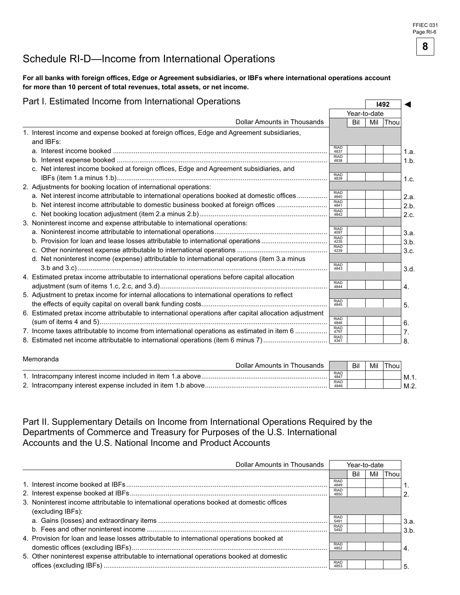### Schedule RI-D—Income from International Operations

#### For all banks with foreign offices, Edge or Agreement subsidiaries, or IBFs where international operations account for more than 10 percent of total revenues, total assets, or net income.

### Part I. Estimated Income from International Operations **International Server 2016**

|                                                                                                         |                     |     | Year-to-date |      |                  |
|---------------------------------------------------------------------------------------------------------|---------------------|-----|--------------|------|------------------|
| Dollar Amounts in Thousands                                                                             |                     | Bil | Mil          | Thou |                  |
| 1. Interest income and expense booked at foreign offices, Edge and Agreement subsidiaries,<br>and IBFs: |                     |     |              |      |                  |
|                                                                                                         | <b>RIAD</b><br>4837 |     |              |      | 1.a.             |
|                                                                                                         | <b>RIAD</b><br>4838 |     |              |      | $1.b$ .          |
| c. Net interest income booked at foreign offices, Edge and Agreement subsidiaries, and                  | <b>RIAD</b><br>4839 |     |              |      | 1.c.             |
| 2. Adjustments for booking location of international operations:                                        |                     |     |              |      |                  |
| a. Net interest income attributable to international operations booked at domestic offices              | <b>RIAD</b><br>4840 |     |              |      | 2.a.             |
| b. Net interest income attributable to domestic business booked at foreign offices                      | <b>RIAD</b><br>4841 |     |              |      | 2.b.             |
|                                                                                                         | <b>RIAD</b><br>4842 |     |              |      | 2.c.             |
| 3. Noninterest income and expense attributable to international operations:                             |                     |     |              |      |                  |
|                                                                                                         | <b>RIAD</b><br>4097 |     |              |      | 3.a.             |
| b. Provision for loan and lease losses attributable to international operations                         | <b>RIAD</b><br>4235 |     |              |      | 3.b.             |
|                                                                                                         | <b>RIAD</b><br>4239 |     |              |      | 3.c.             |
| d. Net noninterest income (expense) attributable to international operations (item 3.a minus            | <b>RIAD</b>         |     |              |      |                  |
|                                                                                                         | 4843                |     |              |      | 3.d.             |
| 4. Estimated pretax income attributable to international operations before capital allocation           | <b>RIAD</b>         |     |              |      |                  |
|                                                                                                         | 4844                |     |              |      | $\overline{4}$ . |
| 5. Adjustment to pretax income for internal allocations to international operations to reflect          |                     |     |              |      |                  |
|                                                                                                         | <b>RIAD</b><br>4845 |     |              |      | 5.               |
| 6. Estimated pretax income attributable to international operations after capital allocation adjustment |                     |     |              |      |                  |
|                                                                                                         | <b>RIAD</b><br>4846 |     |              |      | 6.               |
| 7. Income taxes attributable to income from international operations as estimated in item 6             | <b>RIAD</b><br>4797 |     |              |      | 7.               |
|                                                                                                         | <b>RIAD</b><br>4341 |     |              |      | 8.               |

# Memoranda Dollar Amounts in Thousands Bil Mil Thou RIAD 1. Intracompany interest income included in item 1.a above................................................................... 4 47 M.1. RIAD 2. Intracompany interest expense included in item 1.b above................................................................. 4 4 M.2.

### Part II. Supplementary Details on Income from International Operations Required by the Departments of Commerce and Treasury for Purposes of the U.S. International Accounts and the U.S. National Income and Product Accounts

| Dollar Amounts in Thousands                                                               |                     | Year-to-date |     |      |      |
|-------------------------------------------------------------------------------------------|---------------------|--------------|-----|------|------|
|                                                                                           |                     | Bil          | Mil | Thou |      |
|                                                                                           | <b>RIAD</b><br>4849 |              |     |      |      |
|                                                                                           | <b>RIAD</b><br>4850 |              |     |      | ົ    |
| 3. Noninterest income attributable to international operations booked at domestic offices |                     |              |     |      |      |
| (excluding IBFs):                                                                         |                     |              |     |      |      |
|                                                                                           | <b>RIAD</b><br>5491 |              |     |      | 3.a. |
|                                                                                           | <b>RIAD</b><br>5492 |              |     |      | 3.b. |
| 4. Provision for loan and lease losses attributable to international operations booked at |                     |              |     |      |      |
|                                                                                           | <b>RIAD</b><br>4852 |              |     |      | 4.   |
| 5. Other noninterest expense attributable to international operations booked at domestic  |                     |              |     |      |      |
|                                                                                           | <b>RIAD</b><br>4853 |              |     |      | 5    |



◄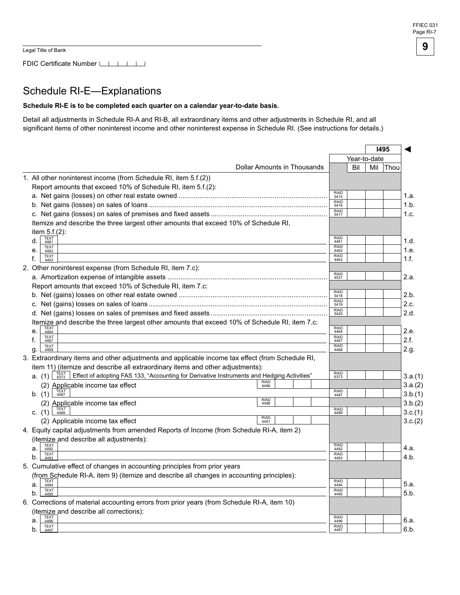FDIC Certificate Number

### Schedule RI-E—Explanations

#### Schedule RI-E is to be completed each quarter on a calendar year-to-date basis.

Detail all adjustments in Schedule RI-A and RI-B, all extraordinary items and other adjustments in Schedule RI, and all significant items of other noninterest income and other noninterest expense in Schedule RI. (See instructions for details.)

|    |                                                                                                                                                                         |                     | 1495<br>Year-to-date |     |             |         |
|----|-------------------------------------------------------------------------------------------------------------------------------------------------------------------------|---------------------|----------------------|-----|-------------|---------|
|    |                                                                                                                                                                         |                     |                      |     |             |         |
|    | <b>Dollar Amounts in Thousands</b>                                                                                                                                      |                     | Bil                  | Mil | <b>Thou</b> |         |
|    | 1. All other noninterest income (from Schedule RI, item 5.f.(2))                                                                                                        |                     |                      |     |             |         |
|    | Report amounts that exceed 10% of Schedule RI, item 5.f.(2):                                                                                                            |                     |                      |     |             |         |
|    |                                                                                                                                                                         | <b>RIAD</b><br>5415 |                      |     |             | 1.a.    |
|    |                                                                                                                                                                         | <b>RIAD</b><br>5416 |                      |     |             | 1.b.    |
|    |                                                                                                                                                                         | <b>RIAD</b><br>5417 |                      |     |             | 1.c.    |
|    | Itemize and describe the three largest other amounts that exceed 10% of Schedule RI,                                                                                    |                     |                      |     |             |         |
|    | item $5.f.(2)$ :                                                                                                                                                        |                     |                      |     |             |         |
|    | <b>TEXT</b><br>4461<br>d.                                                                                                                                               | <b>RIAD</b><br>4461 |                      |     |             | 1.d.    |
|    | <b>TEXT</b><br>e.<br>4462                                                                                                                                               | <b>RIAD</b><br>4462 |                      |     |             | 1.e.    |
| f. | TEXT<br>4463                                                                                                                                                            | <b>RIAD</b><br>4463 |                      |     |             | 1.f.    |
|    | 2. Other noninterest expense (from Schedule RI, item 7.c):                                                                                                              |                     |                      |     |             |         |
|    |                                                                                                                                                                         | <b>RIAD</b><br>4531 |                      |     |             | 2.a.    |
|    | Report amounts that exceed 10% of Schedule RI, item 7.c:                                                                                                                |                     |                      |     |             |         |
|    |                                                                                                                                                                         | <b>RIAD</b><br>5418 |                      |     |             | 2.b.    |
|    |                                                                                                                                                                         | <b>RIAD</b><br>5419 |                      |     |             | 2.c.    |
|    |                                                                                                                                                                         | <b>RIAD</b>         |                      |     |             | 2.d.    |
|    |                                                                                                                                                                         | 5420                |                      |     |             |         |
|    | Itemize and describe the three largest other amounts that exceed 10% of Schedule RI, item 7.c:<br><b>TEXT</b>                                                           | <b>RIAD</b>         |                      |     |             | 2.e.    |
|    | e.<br>4464<br><b>TEXT</b>                                                                                                                                               | 4464<br><b>RIAD</b> |                      |     |             |         |
| f. | 4467<br><b>TEXT</b>                                                                                                                                                     | 4467<br><b>RIAD</b> |                      |     |             | 2.f.    |
|    | g.<br>4468                                                                                                                                                              | 4468                |                      |     |             | 2.g.    |
|    | 3. Extraordinary items and other adjustments and applicable income tax effect (from Schedule RI,                                                                        |                     |                      |     |             |         |
|    | item 11) (itemize and describe all extraordinary items and other adjustments):                                                                                          | <b>RIAD</b>         |                      |     |             |         |
|    | <b>a.</b> (1) $\begin{array}{c} 7EXT \\ 6373 \end{array}$<br>Effect of adopting FAS 133, "Accounting for Derivative Instruments and Hedging Activities"<br>RIAD<br>4486 | 6373                |                      |     |             | 3.a.(1) |
|    | (2) Applicable income tax effect                                                                                                                                        |                     |                      |     |             | 3.a.(2) |
|    | TEXT<br>4487<br>b. (1)<br><b>RIAD</b>                                                                                                                                   | RIAD<br>4487        |                      |     |             | 3.b.(1) |
|    | (2) Applicable income tax effect<br>4488                                                                                                                                | <b>RIAD</b>         |                      |     |             | 3.b.(2) |
|    | c. (1) $\frac{1}{4489}$<br><b>RIAD</b>                                                                                                                                  | 4489                |                      |     |             | 3.c.(1) |
|    | (2) Applicable income tax effect<br>4491                                                                                                                                |                     |                      |     |             | 3.c.(2) |
|    | 4. Equity capital adjustments from amended Reports of Income (from Schedule RI-A, item 2)                                                                               |                     |                      |     |             |         |
|    | (itemize and describe all adjustments):<br>TEXT                                                                                                                         | <b>RIAD</b>         |                      |     |             |         |
|    | a.<br>4492<br><b>TEXT</b>                                                                                                                                               | 4492<br><b>RIAD</b> |                      |     |             | 4.a.    |
|    | b.<br>4493                                                                                                                                                              | 4493                |                      |     |             | 4.b.    |
|    | 5. Cumulative effect of changes in accounting principles from prior years                                                                                               |                     |                      |     |             |         |
|    | (from Schedule RI-A, item 9) (itemize and describe all changes in accounting principles):                                                                               |                     |                      |     |             |         |
|    | <b>TEXT</b><br>4494                                                                                                                                                     | <b>RIAD</b><br>4494 |                      |     |             | 5.a.    |
| a. |                                                                                                                                                                         |                     |                      |     |             |         |
|    | <b>TEXT</b><br>b.<br>4495                                                                                                                                               | <b>RIAD</b><br>4495 |                      |     |             | 5.b.    |
|    | 6. Corrections of material accounting errors from prior years (from Schedule RI-A, item 10)                                                                             |                     |                      |     |             |         |
|    | (itemize and describe all corrections):                                                                                                                                 |                     |                      |     |             |         |
|    | <b>TEXT</b><br>a.<br>4496                                                                                                                                               | <b>RIAD</b><br>4496 |                      |     |             | 6.a.    |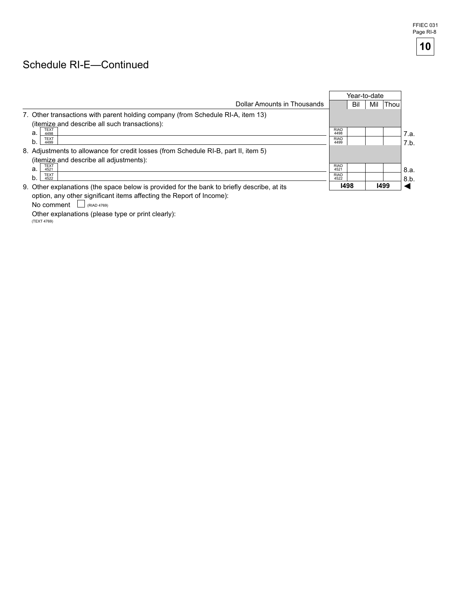### Schedule RI-E—Continued

|                                                                                             |                     | Year-to-date |     |      |      |
|---------------------------------------------------------------------------------------------|---------------------|--------------|-----|------|------|
| Dollar Amounts in Thousands                                                                 |                     | Bil          | Mil | Thou |      |
| 7. Other transactions with parent holding company (from Schedule RI-A, item 13)             |                     |              |     |      |      |
| (itemize and describe all such transactions):                                               |                     |              |     |      |      |
| <b>TEXT</b><br>a.<br>4498                                                                   | <b>RIAD</b><br>4498 |              |     |      | 7.a. |
| <b>TEXT</b><br>b.<br>4499                                                                   | <b>RIAD</b><br>4499 |              |     |      | 7.b. |
| 8. Adjustments to allowance for credit losses (from Schedule RI-B, part II, item 5)         |                     |              |     |      |      |
| (itemize and describe all adjustments):                                                     |                     |              |     |      |      |
| <b>TEXT</b><br>a.<br>4521                                                                   | <b>RIAD</b><br>4521 |              |     |      | 8.a. |
| <b>TEXT</b><br>b.<br>4522                                                                   | <b>RIAD</b><br>4522 |              |     |      | 8.b. |
| 9. Other explanations (the space below is provided for the bank to briefly describe, at its | 1498                |              |     | 1499 |      |
| option, any other significant items affecting the Report of Income):                        |                     |              |     |      |      |

No comment  $\Box$  (RIAD 4769)

Other explanations (please type or print clearly):

 $(TEXT 4769)$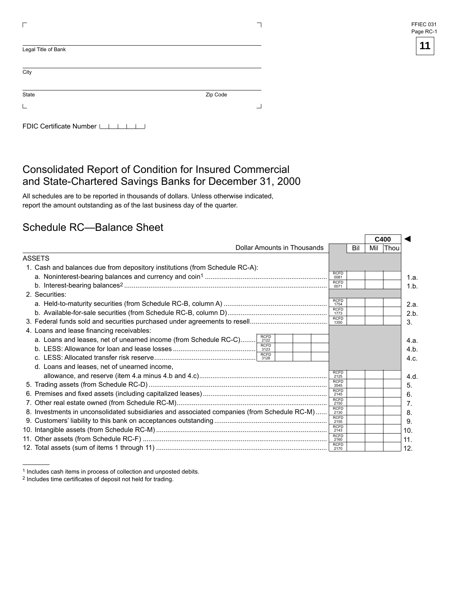| FFIEC 031 |  |
|-----------|--|
| Page RC-1 |  |

| Zip Code |
|----------|
|          |
|          |

### Consolidated Report of Condition for Insured Commercial and State-Chartered Savings Banks for December 31, 2000

All schedules are to be reported in thousands of dollars. Unless otherwise indicated, report the amount outstanding as of the last business day of the quarter.

### Schedule RC—Balance Sheet

|                                                                                                        |                                    |     | C400 |             |
|--------------------------------------------------------------------------------------------------------|------------------------------------|-----|------|-------------|
| Dollar Amounts in Thousands                                                                            |                                    | Bil | Mil  | <b>Thou</b> |
| ASSETS                                                                                                 |                                    |     |      |             |
| 1. Cash and balances due from depository institutions (from Schedule RC-A):                            |                                    |     |      |             |
|                                                                                                        | <b>RCFD</b><br>0081                |     |      |             |
|                                                                                                        | <b>RCFD</b><br>0071                |     |      |             |
| 2. Securities:                                                                                         |                                    |     |      |             |
|                                                                                                        | <b>RCFD</b><br>1754                |     |      |             |
|                                                                                                        | <b>RCFD</b><br>1773<br><b>RCFD</b> |     |      |             |
|                                                                                                        | 1350                               |     |      |             |
| 4. Loans and lease financing receivables:                                                              |                                    |     |      |             |
| <b>RCFD</b><br>a. Loans and leases, net of unearned income (from Schedule RC-C)<br>2122<br><b>RCFD</b> |                                    |     |      |             |
| 3123<br><b>RCFD</b>                                                                                    |                                    |     |      |             |
| 3128                                                                                                   |                                    |     |      |             |
| d. Loans and leases, net of unearned income,                                                           | <b>RCFD</b>                        |     |      |             |
|                                                                                                        | 2125<br><b>RCFD</b>                |     |      |             |
|                                                                                                        | 3545<br><b>RCFD</b>                |     |      |             |
|                                                                                                        | 2145<br><b>RCFD</b>                |     |      |             |
|                                                                                                        | 2150                               |     |      |             |
| 8. Investments in unconsolidated subsidiaries and associated companies (from Schedule RC-M)            | <b>RCFD</b><br>2130                |     |      |             |
|                                                                                                        | RCFD<br>2155                       |     |      |             |
|                                                                                                        | <b>RCFD</b><br>2143                |     |      |             |
|                                                                                                        | <b>RCFD</b><br>2160                |     |      |             |
|                                                                                                        | <b>RCFD</b>                        |     |      |             |

<sup>1</sup> Includes cash items in process of collection and unposted debits.

<sup>2</sup> Includes time certificates of deposit not held for trading.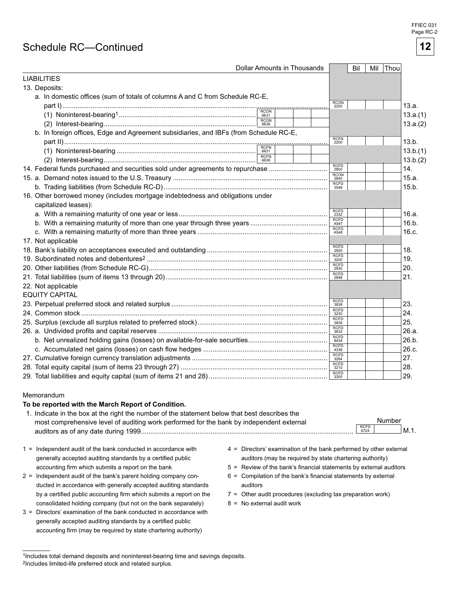#### FFIEC 031 Page RC-2

### Schedule RC—Continued

| <b>Dollar Amounts in Thousands</b>                                                    |                     |  |                     | Bil | Mil Thou |          |
|---------------------------------------------------------------------------------------|---------------------|--|---------------------|-----|----------|----------|
| <b>LIABILITIES</b>                                                                    |                     |  |                     |     |          |          |
| 13. Deposits:                                                                         |                     |  |                     |     |          |          |
| a. In domestic offices (sum of totals of columns A and C from Schedule RC-E,          |                     |  |                     |     |          |          |
|                                                                                       |                     |  | <b>RCON</b><br>2200 |     |          | 13.a.    |
|                                                                                       | <b>RCON</b>         |  |                     |     |          | 13.a.(1) |
|                                                                                       | <b>RCON</b><br>6636 |  |                     |     |          | 13.a.(2) |
| b. In foreign offices, Edge and Agreement subsidiaries, and IBFs (from Schedule RC-E, |                     |  |                     |     |          |          |
|                                                                                       |                     |  | <b>RCFN</b><br>2200 |     |          | 13.b.    |
|                                                                                       |                     |  |                     |     |          | 13.b.(1) |
|                                                                                       | <b>RCFN</b>         |  |                     |     |          | 13.b.(2) |
| 14. Federal funds purchased and securities sold under agreements to repurchase        |                     |  | <b>RCFD</b><br>2800 |     |          | 14.      |
|                                                                                       |                     |  | <b>RCON</b><br>2840 |     |          | 15.a.    |
|                                                                                       |                     |  | <b>RCFD</b><br>3548 |     |          | 15.b.    |
| 16. Other borrowed money (includes mortgage indebtedness and obligations under        |                     |  |                     |     |          |          |
| capitalized leases):                                                                  |                     |  |                     |     |          |          |
|                                                                                       |                     |  | <b>RCFD</b><br>2332 |     |          | 16.a.    |
|                                                                                       |                     |  | <b>RCFD</b><br>A547 |     |          | 16.b.    |
|                                                                                       |                     |  | <b>RCFD</b><br>A548 |     |          | 16.c.    |
| 17. Not applicable                                                                    |                     |  |                     |     |          |          |
|                                                                                       |                     |  | <b>RCFD</b><br>2920 |     |          | 18.      |
|                                                                                       |                     |  | <b>RCFD</b><br>3200 |     |          | 19.      |
|                                                                                       |                     |  | RCFD<br>2930        |     |          | 20.      |
|                                                                                       |                     |  | <b>RCFD</b><br>2948 |     |          | 21.      |
| 22. Not applicable                                                                    |                     |  |                     |     |          |          |
| <b>EQUITY CAPITAL</b>                                                                 |                     |  |                     |     |          |          |
|                                                                                       |                     |  | <b>RCFD</b><br>3838 |     |          | 23.      |
|                                                                                       |                     |  | <b>RCFD</b><br>3230 |     |          | 24.      |
|                                                                                       |                     |  | <b>RCFD</b><br>3839 |     |          | 25.      |
|                                                                                       |                     |  | <b>RCFD</b><br>3632 |     |          | 26.a.    |
|                                                                                       |                     |  | RCFD<br>8434        |     |          | 26.b.    |
|                                                                                       |                     |  | <b>RCFD</b><br>4336 |     |          | 26.c.    |
|                                                                                       |                     |  | <b>RCFD</b><br>3284 |     |          | 27.      |
|                                                                                       |                     |  | <b>RCFD</b><br>3210 |     |          | 28.      |
|                                                                                       |                     |  | <b>RCFD</b><br>3300 |     |          | 29.      |

#### Memorandum

#### To be reported with the March Report of Condition.

| 1. Indicate in the box at the right the number of the statement below that best describes the |              |        |      |
|-----------------------------------------------------------------------------------------------|--------------|--------|------|
| most comprehensive level of auditing work performed for the bank by independent external      |              | Number |      |
| auditors as of any date during 1999                                                           | RCFD<br>6724 |        | M.1. |

- generally accepted auditing standards by a certified public auditors (may be required by state chartering authority)
- ducted in accordance with generally accepted auditing standards auditors by a certified public accounting firm which submits a report on the  $7 =$  Other audit procedures (excluding tax preparation work) consolidated holding company (but not on the bank separately)  $8 = No$  external audit work
- 3 = Directors' examination of the bank conducted in accordance with generally accepted auditing standards by a certified public accounting firm (may be required by state chartering authority)
- 1 = Independent audit of the bank conducted in accordance with 4 = Directors' examination of the bank performed by other external
	- accounting firm which submits a report on the bank 5 = Review of the bank's financial statements by external auditors
- $2 =$  Independent audit of the bank's parent holding company con- $6 =$  Compilation of the bank's financial statements by external
	-
	-

**12** 

<sup>1</sup>Includes total demand deposits and noninterest-bearing time and savings deposits. 2Includes limited-life preferred stock and related surplus.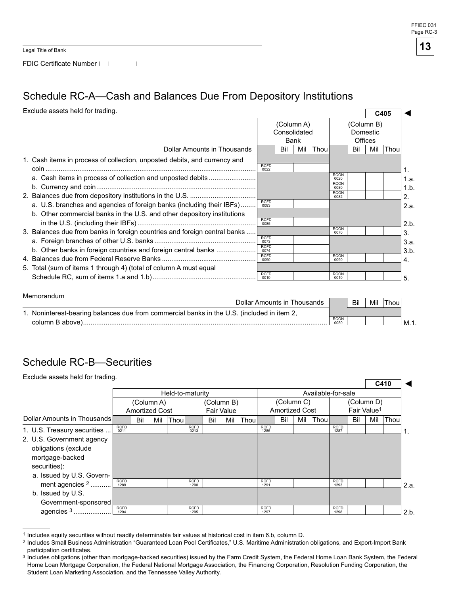FFIEC 031 Page RC-3

**13**

Legal Title of Bank

Memorandum

FDIC Certificate Number LAGO LAGO LAGO

### Schedule RC-A—Cash and Balances Due From Depository Institutions

◄ Exclude assets held for trading. **C405**

|                             | (Column A)<br>Consolidated                                                                                                                                                                                                                                                                                                                                                  |     |      |                     |                                           |     |                     |            |
|-----------------------------|-----------------------------------------------------------------------------------------------------------------------------------------------------------------------------------------------------------------------------------------------------------------------------------------------------------------------------------------------------------------------------|-----|------|---------------------|-------------------------------------------|-----|---------------------|------------|
|                             |                                                                                                                                                                                                                                                                                                                                                                             |     |      |                     |                                           |     |                     |            |
|                             | Bil                                                                                                                                                                                                                                                                                                                                                                         | Mil | Thou |                     | Bil                                       | Mil | Thou                |            |
|                             |                                                                                                                                                                                                                                                                                                                                                                             |     |      |                     |                                           |     |                     |            |
| 0022                        |                                                                                                                                                                                                                                                                                                                                                                             |     |      |                     |                                           |     |                     |            |
|                             |                                                                                                                                                                                                                                                                                                                                                                             |     |      | <b>RCON</b><br>0020 |                                           |     |                     | 1.a.       |
|                             |                                                                                                                                                                                                                                                                                                                                                                             |     |      | 0080                |                                           |     |                     | 1.b.       |
|                             |                                                                                                                                                                                                                                                                                                                                                                             |     |      | <b>RCON</b><br>0082 |                                           |     |                     | 2.         |
| 0083                        |                                                                                                                                                                                                                                                                                                                                                                             |     |      |                     |                                           |     |                     | 2.a.       |
|                             |                                                                                                                                                                                                                                                                                                                                                                             |     |      |                     |                                           |     |                     |            |
| 0085                        |                                                                                                                                                                                                                                                                                                                                                                             |     |      |                     |                                           |     |                     | 2.b.       |
|                             |                                                                                                                                                                                                                                                                                                                                                                             |     |      | 0070                |                                           |     |                     | 3.         |
| 0073                        |                                                                                                                                                                                                                                                                                                                                                                             |     |      |                     |                                           |     |                     | 3.a.       |
| <b>RCFD</b><br>0074         |                                                                                                                                                                                                                                                                                                                                                                             |     |      |                     |                                           |     |                     | 3.b.       |
| 0090                        |                                                                                                                                                                                                                                                                                                                                                                             |     |      | <b>RCON</b><br>0090 |                                           |     |                     | 4.         |
|                             |                                                                                                                                                                                                                                                                                                                                                                             |     |      |                     |                                           |     |                     |            |
| 0010                        |                                                                                                                                                                                                                                                                                                                                                                             |     |      | 0010                |                                           |     |                     | 5.         |
| Dollar Amounts in Thousands | <b>RCFD</b><br>a. Cash items in process of collection and unposted debits<br><b>RCFD</b><br>a. U.S. branches and agencies of foreign banks (including their IBFs)<br><b>RCFD</b><br>3. Balances due from banks in foreign countries and foreign central banks<br><b>RCFD</b><br>b. Other banks in foreign countries and foreign central banks<br><b>RCFD</b><br><b>RCFD</b> |     | Bank |                     | <b>RCON</b><br><b>RCON</b><br><b>RCON</b> |     | Domestic<br>Offices | (Column B) |

| <u>Menoranuum</u><br>Dollar Amounts in Thousands                                           |                     | Bil | Mil | Thou |     |
|--------------------------------------------------------------------------------------------|---------------------|-----|-----|------|-----|
| 1. Noninterest-bearing balances due from commercial banks in the U.S. (included in item 2, |                     |     |     |      |     |
| column B above).                                                                           | <b>RCON</b><br>0050 |     |     |      | M.1 |

### Schedule RC-B—Securities

| Exclude assets held for trading.                                                     |                     |                       |            |                  |                     |     |                                 |       |                     |                                     |     |                    |                     |     |                                       | C410 |      |
|--------------------------------------------------------------------------------------|---------------------|-----------------------|------------|------------------|---------------------|-----|---------------------------------|-------|---------------------|-------------------------------------|-----|--------------------|---------------------|-----|---------------------------------------|------|------|
|                                                                                      |                     |                       |            | Held-to-maturity |                     |     |                                 |       |                     |                                     |     | Available-for-sale |                     |     |                                       |      |      |
|                                                                                      |                     | <b>Amortized Cost</b> | (Column A) |                  |                     |     | (Column B)<br><b>Fair Value</b> |       |                     | (Column C)<br><b>Amortized Cost</b> |     |                    |                     |     | (Column D)<br>Fair Value <sup>1</sup> |      |      |
| Dollar Amounts in Thousands                                                          |                     | Bil                   | Mil        | Thoul            |                     | Bil | Mil                             | Thoul |                     | Bil                                 | Mil | Thou               |                     | Bil | Mil                                   | Thou |      |
| 1. U.S. Treasury securities                                                          | <b>RCFD</b><br>0211 |                       |            |                  | <b>RCFD</b><br>0213 |     |                                 |       | <b>RCFD</b><br>1286 |                                     |     |                    | <b>RCFD</b><br>1287 |     |                                       |      |      |
| 2. U.S. Government agency<br>obligations (exclude<br>mortgage-backed<br>securities): |                     |                       |            |                  |                     |     |                                 |       |                     |                                     |     |                    |                     |     |                                       |      |      |
| a. Issued by U.S. Govern-<br>ment agencies $2$                                       | <b>RCFD</b><br>1289 |                       |            |                  | <b>RCFD</b><br>1290 |     |                                 |       | <b>RCFD</b><br>1291 |                                     |     |                    | <b>RCFD</b><br>1293 |     |                                       |      | 2.a. |
| b. Issued by U.S.<br>Government-sponsored                                            |                     |                       |            |                  |                     |     |                                 |       |                     |                                     |     |                    |                     |     |                                       |      |      |
| agencies $3$                                                                         | <b>RCFD</b><br>1294 |                       |            |                  | <b>RCFD</b><br>1295 |     |                                 |       | <b>RCFD</b><br>1297 |                                     |     |                    | <b>RCFD</b><br>1298 |     |                                       |      | 2.b. |

1 Includes equity securities without readily determinable fair values at historical cost in item 6.b, column D.

Includes Small Business Administration "Guaranteed Loan Pool Certificates," U.S. Maritime Administration obligations, and Export-Import Bank participation certificates.

<sup>&</sup>lt;sup>3</sup> Includes obligations (other than mortgage-backed securities) issued by the Farm Credit System, the Federal Home Loan Bank System, the Federal Home Loan Mortgage Corporation, the Federal National Mortgage Association, the Financing Corporation, Resolution Funding Corporation, the Student Loan Marketing Association, and the Tennessee Valley Authority.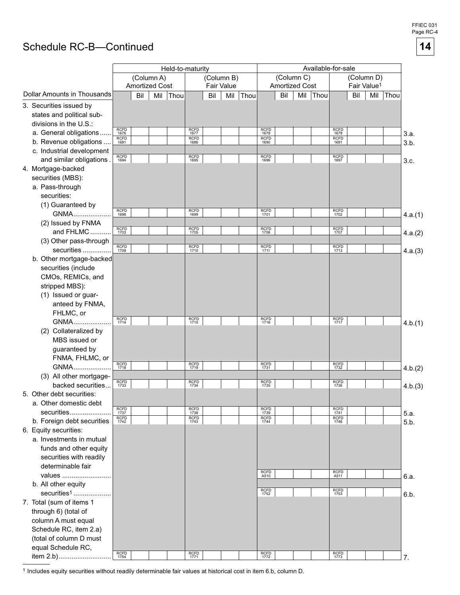#### FFIEC 031 Page RC-4

**14**

### Schedule RC-B—Continued

|                                    | Held-to-maturity            |                       |            |      |                     |     |            | Available-for-sale |                     |                       |     |      |                             |     |                         |      |         |
|------------------------------------|-----------------------------|-----------------------|------------|------|---------------------|-----|------------|--------------------|---------------------|-----------------------|-----|------|-----------------------------|-----|-------------------------|------|---------|
|                                    |                             |                       | (Column A) |      |                     |     | (Column B) |                    |                     | (Column C)            |     |      |                             |     | (Column D)              |      |         |
|                                    |                             | <b>Amortized Cost</b> |            |      |                     |     | Fair Value |                    |                     | <b>Amortized Cost</b> |     |      |                             |     | Fair Value <sup>1</sup> |      |         |
| <b>Dollar Amounts in Thousands</b> |                             | Bil                   | Mil        | Thou |                     | Bil | Mil        | Thou               |                     | Bil                   | Mil | Thou |                             | Bil | Mil                     | Thou |         |
| 3. Securities issued by            |                             |                       |            |      |                     |     |            |                    |                     |                       |     |      |                             |     |                         |      |         |
| states and political sub-          |                             |                       |            |      |                     |     |            |                    |                     |                       |     |      |                             |     |                         |      |         |
| divisions in the U.S.:             |                             |                       |            |      | <b>RCFD</b>         |     |            |                    |                     |                       |     |      |                             |     |                         |      |         |
| a. General obligations             | RCFD<br>1676<br><b>RCFD</b> |                       |            |      | 1677<br><b>RCFD</b> |     |            |                    | RCFD<br>1678        |                       |     |      | RCFD<br>1679<br><b>RCFD</b> |     |                         |      | 3.a.    |
| b. Revenue obligations             | 1681                        |                       |            |      | 1686                |     |            |                    | <b>RCFD</b><br>1690 |                       |     |      | 1691                        |     |                         |      | 3.b.    |
| c. Industrial development          |                             |                       |            |      |                     |     |            |                    |                     |                       |     |      |                             |     |                         |      |         |
| and similar obligations.           | RCFD<br>1694                |                       |            |      | RCFD<br>1695        |     |            |                    | <b>RCFD</b><br>1696 |                       |     |      | RCFD<br>1697                |     |                         |      | 3.c.    |
| 4. Mortgage-backed                 |                             |                       |            |      |                     |     |            |                    |                     |                       |     |      |                             |     |                         |      |         |
| securities (MBS):                  |                             |                       |            |      |                     |     |            |                    |                     |                       |     |      |                             |     |                         |      |         |
| a. Pass-through                    |                             |                       |            |      |                     |     |            |                    |                     |                       |     |      |                             |     |                         |      |         |
| securities:                        |                             |                       |            |      |                     |     |            |                    |                     |                       |     |      |                             |     |                         |      |         |
| (1) Guaranteed by                  |                             |                       |            |      |                     |     |            |                    |                     |                       |     |      |                             |     |                         |      |         |
| GNMA                               | <b>RCFD</b><br>1698         |                       |            |      | <b>RCFD</b><br>1699 |     |            |                    | <b>RCFD</b><br>1701 |                       |     |      | RCFD<br>1702                |     |                         |      | 4.a.(1) |
| (2) Issued by FNMA                 |                             |                       |            |      |                     |     |            |                    |                     |                       |     |      |                             |     |                         |      |         |
| and FHLMC                          | RCFD<br>1703                |                       |            |      | RCFD<br>1705        |     |            |                    | <b>RCFD</b><br>1706 |                       |     |      | RCFD<br>1707                |     |                         |      | 4.a.(2) |
| (3) Other pass-through             |                             |                       |            |      |                     |     |            |                    |                     |                       |     |      |                             |     |                         |      |         |
| securities                         | RCFD<br>1709                |                       |            |      | RCFD<br>1710        |     |            |                    | <b>RCFD</b><br>1711 |                       |     |      | RCFD<br>1713                |     |                         |      | 4.a.(3) |
| b. Other mortgage-backed           |                             |                       |            |      |                     |     |            |                    |                     |                       |     |      |                             |     |                         |      |         |
| securities (include                |                             |                       |            |      |                     |     |            |                    |                     |                       |     |      |                             |     |                         |      |         |
| CMOs, REMICs, and                  |                             |                       |            |      |                     |     |            |                    |                     |                       |     |      |                             |     |                         |      |         |
| stripped MBS):                     |                             |                       |            |      |                     |     |            |                    |                     |                       |     |      |                             |     |                         |      |         |
| (1) Issued or guar-                |                             |                       |            |      |                     |     |            |                    |                     |                       |     |      |                             |     |                         |      |         |
| anteed by FNMA,                    |                             |                       |            |      |                     |     |            |                    |                     |                       |     |      |                             |     |                         |      |         |
| FHLMC, or                          |                             |                       |            |      |                     |     |            |                    |                     |                       |     |      |                             |     |                         |      |         |
| GNMA                               | RCFD<br>1714                |                       |            |      | RCFD<br>1715        |     |            |                    | <b>RCFD</b><br>1716 |                       |     |      | RCFD<br>1717                |     |                         |      | 4.b.(1) |
| (2) Collateralized by              |                             |                       |            |      |                     |     |            |                    |                     |                       |     |      |                             |     |                         |      |         |
| MBS issued or                      |                             |                       |            |      |                     |     |            |                    |                     |                       |     |      |                             |     |                         |      |         |
| guaranteed by                      |                             |                       |            |      |                     |     |            |                    |                     |                       |     |      |                             |     |                         |      |         |
| FNMA, FHLMC, or                    |                             |                       |            |      |                     |     |            |                    |                     |                       |     |      |                             |     |                         |      |         |
| GNMA                               | <b>RCFD</b><br>1718         |                       |            |      | RCFD<br>1719        |     |            |                    | <b>RCFD</b><br>1731 |                       |     |      | RCFD<br>1732                |     |                         |      | 4.b.(2) |
| (3) All other mortgage-            |                             |                       |            |      |                     |     |            |                    |                     |                       |     |      |                             |     |                         |      |         |
| backed securities                  | <b>RCFD</b><br>1733         |                       |            |      | <b>RCFD</b><br>1734 |     |            |                    | <b>RCFD</b><br>1735 |                       |     |      | RCFD<br>1736                |     |                         |      | 4.b.(3) |
| 5. Other debt securities:          |                             |                       |            |      |                     |     |            |                    |                     |                       |     |      |                             |     |                         |      |         |
| a. Other domestic debt             |                             |                       |            |      |                     |     |            |                    |                     |                       |     |      |                             |     |                         |      |         |
| securities                         | RCFD<br>1737                |                       |            |      | <b>RCFD</b><br>1738 |     |            |                    | RCFD<br>1739        |                       |     |      | RCFD<br>1741                |     |                         |      | 5.a.    |
| b. Foreign debt securities         | RCFD<br>1742                |                       |            |      | <b>RCFD</b><br>1743 |     |            |                    | RCFD<br>1744        |                       |     |      | RCFD<br>1746                |     |                         |      | 5.b.    |
| 6. Equity securities:              |                             |                       |            |      |                     |     |            |                    |                     |                       |     |      |                             |     |                         |      |         |
| a. Investments in mutual           |                             |                       |            |      |                     |     |            |                    |                     |                       |     |      |                             |     |                         |      |         |
| funds and other equity             |                             |                       |            |      |                     |     |            |                    |                     |                       |     |      |                             |     |                         |      |         |
| securities with readily            |                             |                       |            |      |                     |     |            |                    |                     |                       |     |      |                             |     |                         |      |         |
| determinable fair                  |                             |                       |            |      |                     |     |            |                    | <b>RCFD</b>         |                       |     |      |                             |     |                         |      |         |
| values                             |                             |                       |            |      |                     |     |            |                    | A510                |                       |     |      | RCFD<br>A511                |     |                         |      | 6.a.    |
| b. All other equity                |                             |                       |            |      |                     |     |            |                    |                     |                       |     |      | RCFD                        |     |                         |      |         |
| securities <sup>1</sup>            |                             |                       |            |      |                     |     |            |                    | RCFD<br>1752        |                       |     |      | 1753                        |     |                         |      | 6.b.    |
| 7. Total (sum of items 1           |                             |                       |            |      |                     |     |            |                    |                     |                       |     |      |                             |     |                         |      |         |
| through 6) (total of               |                             |                       |            |      |                     |     |            |                    |                     |                       |     |      |                             |     |                         |      |         |
| column A must equal                |                             |                       |            |      |                     |     |            |                    |                     |                       |     |      |                             |     |                         |      |         |
| Schedule RC, item 2.a)             |                             |                       |            |      |                     |     |            |                    |                     |                       |     |      |                             |     |                         |      |         |
| (total of column D must            |                             |                       |            |      |                     |     |            |                    |                     |                       |     |      |                             |     |                         |      |         |
| equal Schedule RC,                 |                             |                       |            |      |                     |     |            |                    |                     |                       |     |      |                             |     |                         |      |         |
|                                    | $RCFD$<br>1754              |                       |            |      | RCFD<br>1771        |     |            |                    | RCFD<br>1772        |                       |     |      | RCFD<br>1773                |     |                         |      | 7.      |

1 Includes equity securities without readily determinable fair values at historical cost in item 6.b, column D.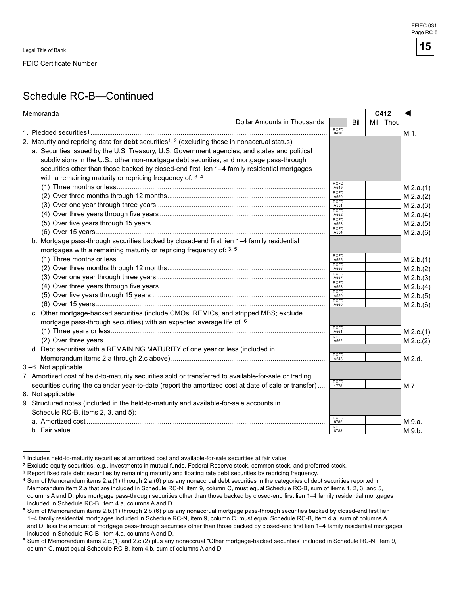FDIC Certificate Number LILLI

### Schedule RC-B—Continued

| Memoranda                                                                                                         | C412                |     |     |      |           |
|-------------------------------------------------------------------------------------------------------------------|---------------------|-----|-----|------|-----------|
| <b>Dollar Amounts in Thousands</b>                                                                                |                     | Bil | Mil | Thou |           |
|                                                                                                                   | <b>RCFD</b><br>0416 |     |     |      | M.1.      |
| 2. Maturity and repricing data for <b>debt</b> securities <sup>1, 2</sup> (excluding those in nonaccrual status): |                     |     |     |      |           |
| a. Securities issued by the U.S. Treasury, U.S. Government agencies, and states and political                     |                     |     |     |      |           |
| subdivisions in the U.S.; other non-mortgage debt securities; and mortgage pass-through                           |                     |     |     |      |           |
| securities other than those backed by closed-end first lien 1-4 family residential mortgages                      |                     |     |     |      |           |
| with a remaining maturity or repricing frequency of: 3, 4                                                         |                     |     |     |      |           |
|                                                                                                                   | <b>RCFD</b><br>A549 |     |     |      | M.2.a.(1) |
|                                                                                                                   | <b>RCFD</b><br>A550 |     |     |      | M.2.a.(2) |
|                                                                                                                   | <b>RCFD</b><br>A551 |     |     |      | M.2.a.(3) |
|                                                                                                                   | RCFD<br>A552        |     |     |      | M.2.a.(4) |
|                                                                                                                   | <b>RCFD</b><br>A553 |     |     |      | M.2.a.(5) |
|                                                                                                                   | <b>RCFD</b><br>A554 |     |     |      | M.2.a.(6) |
| b. Mortgage pass-through securities backed by closed-end first lien 1-4 family residential                        |                     |     |     |      |           |
| mortgages with a remaining maturity or repricing frequency of: 3, 5                                               |                     |     |     |      |           |
|                                                                                                                   | <b>RCFD</b><br>A555 |     |     |      | M.2.b.(1) |
|                                                                                                                   | <b>RCFD</b><br>A556 |     |     |      | M.2.b.(2) |
|                                                                                                                   | <b>RCFD</b><br>A557 |     |     |      | M.2.b.(3) |
|                                                                                                                   | <b>RCFD</b><br>A558 |     |     |      | M.2.b.(4) |
|                                                                                                                   | <b>RCFD</b><br>A559 |     |     |      | M.2.b.(5) |
|                                                                                                                   | <b>RCFD</b><br>A560 |     |     |      | M.2.b.(6) |
| c. Other mortgage-backed securities (include CMOs, REMICs, and stripped MBS; exclude                              |                     |     |     |      |           |
| mortgage pass-through securities) with an expected average life of: 6                                             |                     |     |     |      |           |
|                                                                                                                   | <b>RCFD</b><br>A561 |     |     |      | M.2.c.(1) |
|                                                                                                                   | <b>RCFD</b><br>A562 |     |     |      | M.2.c.(2) |
| d. Debt securities with a REMAINING MATURITY of one year or less (included in                                     |                     |     |     |      |           |
|                                                                                                                   | <b>RCFD</b><br>A248 |     |     |      | M.2.d.    |
| 3.-6. Not applicable                                                                                              |                     |     |     |      |           |
| 7. Amortized cost of held-to-maturity securities sold or transferred to available-for-sale or trading             |                     |     |     |      |           |
| securities during the calendar year-to-date (report the amortized cost at date of sale or transfer)               | <b>RCFD</b><br>1778 |     |     |      | M.7.      |
| 8. Not applicable                                                                                                 |                     |     |     |      |           |
| 9. Structured notes (included in the held-to-maturity and available-for-sale accounts in                          |                     |     |     |      |           |
| Schedule RC-B, items 2, 3, and 5):                                                                                |                     |     |     |      |           |
|                                                                                                                   | <b>RCFD</b><br>8782 |     |     |      | M.9.a.    |
|                                                                                                                   | <b>RCFD</b><br>8783 |     |     |      | M.9.b.    |

<sup>1</sup> Includes held-to-maturity securities at amortized cost and available-for-sale securities at fair value.

Exclude equity securities, e.g., investments in mutual funds, Federal Reserve stock, common stock, and preferred stock.

<sup>&</sup>lt;sup>3</sup> Report fixed rate debt securities by remaining maturity and floating rate debt securities by repricing frequency.

<sup>4</sup> Sum of Memorandum items 2.a.(1) through 2.a.(6) plus any nonaccrual debt securities in the categories of debt securities reported in Memorandum item 2.a that are included in Schedule RC-N, item 9, column C, must equal Schedule RC-B, sum of items 1, 2, 3, and 5, columns A and D, plus mortgage pass-through securities other than those backed by closed-end first lien 1–4 family residential mortgages included in Schedule RC-B, item 4.a, columns A and D.

 $5$  Sum of Memorandum items  $2.b.(1)$  through  $2.b.(6)$  plus any nonaccrual mortgage pass-through securities backed by closed-end first lien 1–4 family residential mortgages included in Schedule RC-N, item 9, column C, must equal Schedule RC-B, item 4.a, sum of columns A and D, less the amount of mortgage pass-through securities other than those backed by closed-end first lien 1–4 family residential mortgages included in Schedule RC-B, item 4.a, columns A and D.

<sup>6</sup> Sum of Memorandum items 2.c.(1) and 2.c.(2) plus any nonaccrual "Other mortgage-backed securities" included in Schedule RC-N, item 9, column C, must equal Schedule RC-B, item 4.b, sum of columns A and D.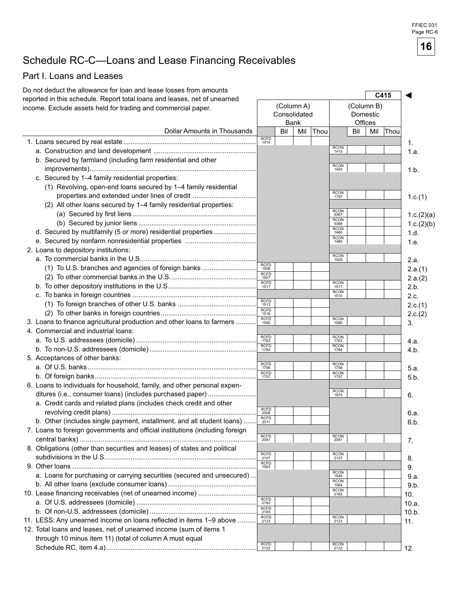## Schedule RC-C—Loans and Lease Financing Receivables

### Part I. Loans and Leases

| Do not deduct the allowance for loan and lease losses from amounts           |                             |     |              |      |                     |            |          | C415 |                 |
|------------------------------------------------------------------------------|-----------------------------|-----|--------------|------|---------------------|------------|----------|------|-----------------|
| reported in this schedule. Report total loans and leases, net of unearned    |                             |     | (Column A)   |      |                     | (Column B) |          |      |                 |
| income. Exclude assets held for trading and commercial paper.                |                             |     | Consolidated |      |                     |            |          |      |                 |
|                                                                              |                             |     | <b>Bank</b>  |      |                     | Offices    | Domestic |      |                 |
| Dollar Amounts in Thousands                                                  |                             | Bil | Mil          | Thou |                     | Bil        | Mil      | Thou |                 |
|                                                                              | <b>RCFD</b><br>1410         |     |              |      |                     |            |          |      | 1.              |
|                                                                              |                             |     |              |      | <b>RCON</b><br>1415 |            |          |      | 1.a.            |
| b. Secured by farmland (including farm residential and other                 |                             |     |              |      |                     |            |          |      |                 |
|                                                                              |                             |     |              |      | <b>RCON</b><br>1420 |            |          |      | 1.b.            |
| c. Secured by 1-4 family residential properties:                             |                             |     |              |      |                     |            |          |      |                 |
| (1) Revolving, open-end loans secured by 1-4 family residential              |                             |     |              |      |                     |            |          |      |                 |
| properties and extended under lines of credit                                |                             |     |              |      | <b>RCON</b><br>1797 |            |          |      | 1.c.(1)         |
| (2) All other loans secured by 1-4 family residential properties:            |                             |     |              |      |                     |            |          |      |                 |
|                                                                              |                             |     |              |      | <b>RCON</b><br>5367 |            |          |      | 1.c.(2)(a)      |
|                                                                              |                             |     |              |      | <b>RCON</b><br>5368 |            |          |      | 1.c.(2)(b)      |
| d. Secured by multifamily (5 or more) residential properties                 |                             |     |              |      | <b>RCON</b><br>1460 |            |          |      | 1.d.            |
|                                                                              |                             |     |              |      | <b>RCON</b><br>1480 |            |          |      | 1.e.            |
| 2. Loans to depository institutions:                                         |                             |     |              |      |                     |            |          |      |                 |
|                                                                              |                             |     |              |      | <b>RCON</b><br>1505 |            |          |      | 2.a.            |
| (1) To U.S. branches and agencies of foreign banks                           | <b>RCFD</b><br>1506         |     |              |      |                     |            |          |      |                 |
|                                                                              | <b>RCFD</b><br>1507         |     |              |      |                     |            |          |      | 2.a.(1)         |
|                                                                              | <b>RCFD</b><br>1517         |     |              |      | <b>RCON</b><br>1517 |            |          |      | 2.a.(2)<br>2.b. |
|                                                                              |                             |     |              |      | <b>RCON</b><br>1510 |            |          |      | 2.c.            |
|                                                                              | <b>RCFD</b><br>1513         |     |              |      |                     |            |          |      |                 |
|                                                                              | <b>RCFD</b>                 |     |              |      |                     |            |          |      | 2.c.(1)         |
| 3. Loans to finance agricultural production and other loans to farmers       | 1516<br><b>RCFD</b><br>1590 |     |              |      | <b>RCON</b>         |            |          |      | 2.c.(2)         |
| 4. Commercial and industrial loans:                                          |                             |     |              |      | 1590                |            |          |      | 3.              |
|                                                                              | <b>RCFD</b>                 |     |              |      | <b>RCON</b>         |            |          |      |                 |
|                                                                              | 1763<br><b>RCFD</b>         |     |              |      | 1763<br><b>RCON</b> |            |          |      | 4.a.            |
|                                                                              | 1764                        |     |              |      | 1764                |            |          |      | 4.b.            |
| 5. Acceptances of other banks:                                               | <b>RCFD</b>                 |     |              |      | <b>RCON</b>         |            |          |      |                 |
|                                                                              | 1756<br><b>RCFD</b>         |     |              |      | 1756<br><b>RCON</b> |            |          |      | 5.a.            |
|                                                                              | 1757                        |     |              |      | 1757                |            |          |      | 5.b.            |
| 6. Loans to individuals for household, family, and other personal expen-     |                             |     |              |      | <b>RCON</b>         |            |          |      |                 |
| ditures (i.e., consumer loans) (includes purchased paper)                    |                             |     |              |      | 1975                |            |          |      | 6.              |
| a. Credit cards and related plans (includes check credit and other           | RCFD<br>2008                |     |              |      |                     |            |          |      |                 |
|                                                                              | <b>RCFD</b>                 |     |              |      |                     |            |          |      | 6.a.            |
| b. Other (includes single payment, installment, and all student loans)       | 2011                        |     |              |      |                     |            |          |      | 6.b             |
| 7. Loans to foreign governments and official institutions (including foreign | <b>RCFD</b>                 |     |              |      | RCON<br>2081        |            |          |      |                 |
|                                                                              | 2081                        |     |              |      |                     |            |          |      | 7.              |
| 8. Obligations (other than securities and leases) of states and political    | <b>RCFD</b>                 |     |              |      | RCON<br>2107        |            |          |      |                 |
|                                                                              | 2107<br><b>RCFD</b>         |     |              |      |                     |            |          |      | 8.              |
|                                                                              | 1563                        |     |              |      | <b>RCON</b>         |            |          |      | 9.              |
| a. Loans for purchasing or carrying securities (secured and unsecured)       |                             |     |              |      | 1545<br><b>RCON</b> |            |          |      | 9.a.            |
|                                                                              |                             |     |              |      | 1564<br>RCON        |            |          |      | 9.b.            |
| 10. Lease financing receivables (net of unearned income)                     | RCFD                        |     |              |      | 2165                |            |          |      | 10.             |
|                                                                              | 2182<br><b>RCFD</b>         |     |              |      |                     |            |          |      | 10.a.           |
|                                                                              | 2183<br><b>RCFD</b>         |     |              |      | RCON<br>2123        |            |          |      | 10.b.           |
| 11. LESS: Any unearned income on loans reflected in items 1-9 above          | 2123                        |     |              |      |                     |            |          |      | 11.             |
| 12. Total loans and leases, net of unearned income (sum of items 1           |                             |     |              |      |                     |            |          |      |                 |
| through 10 minus item 11) (total of column A must equal                      | <b>RCFD</b>                 |     |              |      |                     |            |          |      |                 |
|                                                                              | 2122                        |     |              |      | RCON<br>2122        |            |          |      | 12.             |

FFIEC 031 Page RC-6

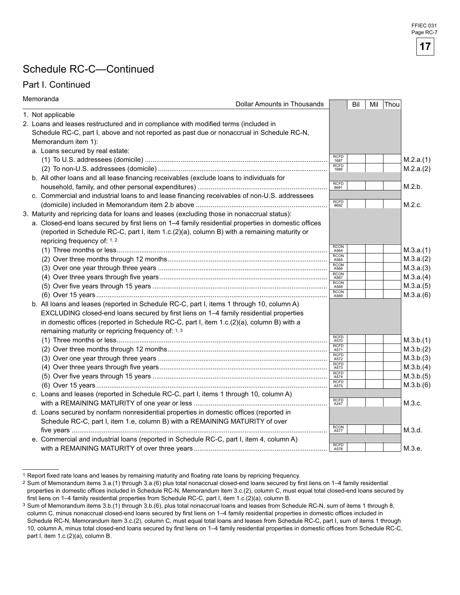### Schedule RC-C—Continued

### Part I. Continued

| Memoranda                                                                                           | Dollar Amounts in Thousands |                     | Bil | Mil | Thou |           |
|-----------------------------------------------------------------------------------------------------|-----------------------------|---------------------|-----|-----|------|-----------|
| 1. Not applicable                                                                                   |                             |                     |     |     |      |           |
| 2. Loans and leases restructured and in compliance with modified terms (included in                 |                             |                     |     |     |      |           |
| Schedule RC-C, part I, above and not reported as past due or nonaccrual in Schedule RC-N,           |                             |                     |     |     |      |           |
| Memorandum item 1):                                                                                 |                             |                     |     |     |      |           |
| a. Loans secured by real estate:                                                                    |                             |                     |     |     |      |           |
|                                                                                                     |                             | <b>RCFD</b><br>1687 |     |     |      | M.2.a.(1) |
|                                                                                                     |                             | <b>RCFD</b><br>1689 |     |     |      | M.2.a.(2) |
| b. All other loans and all lease financing receivables (exclude loans to individuals for            |                             |                     |     |     |      |           |
|                                                                                                     |                             | <b>RCFD</b><br>8691 |     |     |      | M.2.b.    |
| c. Commercial and industrial loans to and lease financing receivables of non-U.S. addressees        |                             |                     |     |     |      |           |
|                                                                                                     |                             | <b>RCFD</b><br>8692 |     |     |      | M.2.c.    |
| 3. Maturity and repricing data for loans and leases (excluding those in nonaccrual status):         |                             |                     |     |     |      |           |
| a. Closed-end loans secured by first liens on 1-4 family residential properties in domestic offices |                             |                     |     |     |      |           |
| (reported in Schedule RC-C, part I, item 1.c.(2)(a), column B) with a remaining maturity or         |                             |                     |     |     |      |           |
| repricing frequency of: 1, 2                                                                        |                             |                     |     |     |      |           |
|                                                                                                     |                             | <b>RCON</b><br>A564 |     |     |      | M.3.a.(1) |
|                                                                                                     |                             | <b>RCON</b><br>A565 |     |     |      | M.3.a.(2) |
|                                                                                                     |                             | <b>RCON</b><br>A566 |     |     |      | M.3.a.(3) |
|                                                                                                     |                             | <b>RCON</b><br>A567 |     |     |      | M.3.a.(4) |
|                                                                                                     |                             | <b>RCON</b><br>A568 |     |     |      | M.3.a.(5) |
|                                                                                                     |                             | <b>RCON</b><br>A569 |     |     |      | M.3.a.(6) |
| b. All loans and leases (reported in Schedule RC-C, part I, items 1 through 10, column A)           |                             |                     |     |     |      |           |
| EXCLUDING closed-end loans secured by first liens on 1-4 family residential properties              |                             |                     |     |     |      |           |
| in domestic offices (reported in Schedule RC-C, part I, item 1.c.(2)(a), column B) with a           |                             |                     |     |     |      |           |
| remaining maturity or repricing frequency of: 1, 3                                                  |                             |                     |     |     |      |           |
|                                                                                                     |                             | <b>RCFD</b><br>A570 |     |     |      | M.3.b.(1) |
|                                                                                                     |                             | <b>RCFD</b><br>A571 |     |     |      | M.3.b.(2) |
|                                                                                                     |                             | <b>RCFD</b><br>A572 |     |     |      | M.3.b.(3) |
|                                                                                                     |                             | <b>RCFD</b><br>A573 |     |     |      | M.3.b.(4) |
|                                                                                                     |                             | <b>RCFD</b><br>A574 |     |     |      | M.3.b.(5) |
|                                                                                                     |                             | <b>RCFD</b><br>A575 |     |     |      | M.3.b.(6) |
| c. Loans and leases (reported in Schedule RC-C, part I, items 1 through 10, column A)               |                             |                     |     |     |      |           |
|                                                                                                     |                             | <b>RCFD</b><br>A247 |     |     |      | M.3.c.    |
| d. Loans secured by nonfarm nonresidential properties in domestic offices (reported in              |                             |                     |     |     |      |           |
| Schedule RC-C, part I, item 1.e, column B) with a REMAINING MATURITY of over                        |                             |                     |     |     |      |           |
|                                                                                                     |                             | <b>RCON</b><br>A577 |     |     |      | M.3.d.    |
| e. Commercial and industrial loans (reported in Schedule RC-C, part I, item 4, column A)            |                             |                     |     |     |      |           |
|                                                                                                     |                             | RCFD<br>A578        |     |     |      | M.3.e.    |

<sup>&</sup>lt;sup>1</sup> Report fixed rate loans and leases by remaining maturity and floating rate loans by repricing frequency.

<sup>&</sup>lt;sup>2</sup> Sum of Memorandum items 3.a.(1) through 3.a.(6) plus total nonaccrual closed-end loans secured by first liens on 1–4 family residential properties in domestic offices included in Schedule RC-N, Memorandum item 3.c.(2), column C, must equal total closed-end loans secured by first liens on 1–4 family residential properties from Schedule RC-C, part I, item 1.c.(2)(a), column B.

<sup>3</sup> Sum of Memorandum items 3.b.(1) through 3.b.(6), plus total nonaccrual loans and leases from Schedule RC-N, sum of items 1 through 8, column C, minus nonaccrual closed-end loans secured by first liens on 1–4 family residential properties in domestic offices included in Schedule RC-N, Memorandum item 3.c.(2), column C, must equal total loans and leases from Schedule RC-C, part I, sum of items 1 through 10, column A, minus total closed-end loans secured by first liens on 1-4 family residential properties in domestic offices from Schedule RC-C, part I, item 1.c.(2)(a), column B.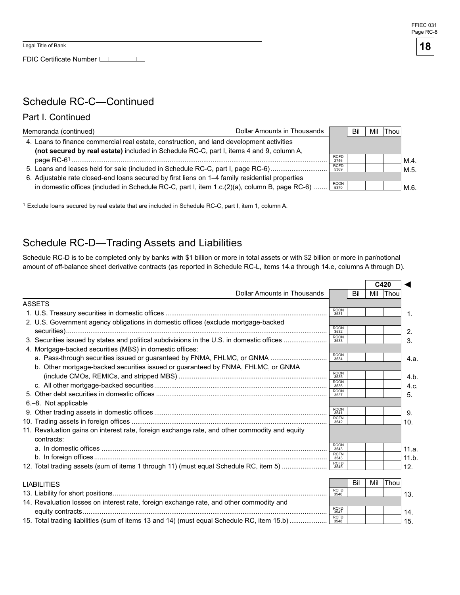

### Schedule RC-C—Continued

### Part I. Continued

| Memoranda (continued)                                                                            | Dollar Amounts in Thousands |                     | Bil | Mil | Thou |      |
|--------------------------------------------------------------------------------------------------|-----------------------------|---------------------|-----|-----|------|------|
| 4. Loans to finance commercial real estate, construction, and land development activities        |                             |                     |     |     |      |      |
| (not secured by real estate) included in Schedule RC-C, part I, items 4 and 9, column A,         |                             |                     |     |     |      |      |
|                                                                                                  |                             | <b>RCFD</b><br>2746 |     |     |      | M.4  |
| 5. Loans and leases held for sale (included in Schedule RC-C, part I, page RC-6)                 |                             | <b>RCFD</b><br>5369 |     |     |      | M.5. |
| 6. Adjustable rate closed-end loans secured by first liens on 1–4 family residential properties  |                             |                     |     |     |      |      |
| in domestic offices (included in Schedule RC-C, part I, item $1.c.(2)(a)$ , column B, page RC-6) |                             | RCON<br>5370        |     |     |      |      |

1 Exclude loans secured by real estate that are included in Schedule RC-C, part I, item 1, column A.

### Schedule RC-D—Trading Assets and Liabilities

Schedule RC-D is to be completed only by banks with \$1 billion or more in total assets or with \$2 billion or more in par/notional amount of off-balance sheet derivative contracts (as reported in Schedule RC-L, items 14.a through 14.e, columns A through D).

|                                                                                                             |                     |     |     | C420     |       |
|-------------------------------------------------------------------------------------------------------------|---------------------|-----|-----|----------|-------|
| <b>Dollar Amounts in Thousands</b>                                                                          |                     | Bil | Mil | Thou     |       |
| <b>ASSETS</b>                                                                                               |                     |     |     |          |       |
|                                                                                                             | <b>RCON</b><br>3531 |     |     |          | 1.    |
| 2. U.S. Government agency obligations in domestic offices (exclude mortgage-backed                          |                     |     |     |          |       |
|                                                                                                             | <b>RCON</b><br>3532 |     |     |          | 2.    |
| 3. Securities issued by states and political subdivisions in the U.S. in domestic offices                   | <b>RCON</b><br>3533 |     |     |          | 3.    |
| 4. Mortgage-backed securities (MBS) in domestic offices:                                                    |                     |     |     |          |       |
| a. Pass-through securities issued or guaranteed by FNMA, FHLMC, or GNMA                                     | <b>RCON</b><br>3534 |     |     |          | 4.a.  |
| b. Other mortgage-backed securities issued or guaranteed by FNMA, FHLMC, or GNMA                            |                     |     |     |          |       |
|                                                                                                             | <b>RCON</b><br>3535 |     |     |          | 4.b   |
|                                                                                                             | <b>RCON</b><br>3536 |     |     |          | 4.c.  |
|                                                                                                             | <b>RCON</b><br>3537 |     |     |          | 5.    |
| 6.-8. Not applicable                                                                                        |                     |     |     |          |       |
|                                                                                                             | <b>RCON</b><br>3541 |     |     |          | 9.    |
|                                                                                                             | <b>RCFN</b><br>3542 |     |     |          | 10.   |
| 11. Revaluation gains on interest rate, foreign exchange rate, and other commodity and equity<br>contracts: |                     |     |     |          |       |
|                                                                                                             | <b>RCON</b><br>3543 |     |     |          | 11.a. |
|                                                                                                             | <b>RCFN</b><br>3543 |     |     |          | 11.b  |
| 12. Total trading assets (sum of items 1 through 11) (must equal Schedule RC, item 5)                       | <b>RCFD</b><br>3545 |     |     |          | 12.   |
|                                                                                                             |                     |     |     |          |       |
| <b>LIABILITIES</b>                                                                                          |                     | Bil | Mil | $ $ Thou |       |
|                                                                                                             | <b>RCFD</b><br>3546 |     |     |          | 13.   |
| 14. Revaluation losses on interest rate, foreign exchange rate, and other commodity and                     |                     |     |     |          |       |
|                                                                                                             | <b>RCFD</b><br>3547 |     |     |          | 14.   |
| 15. Total trading liabilities (sum of items 13 and 14) (must equal Schedule RC, item 15.b)                  | <b>RCFD</b><br>3548 |     |     |          | 15.   |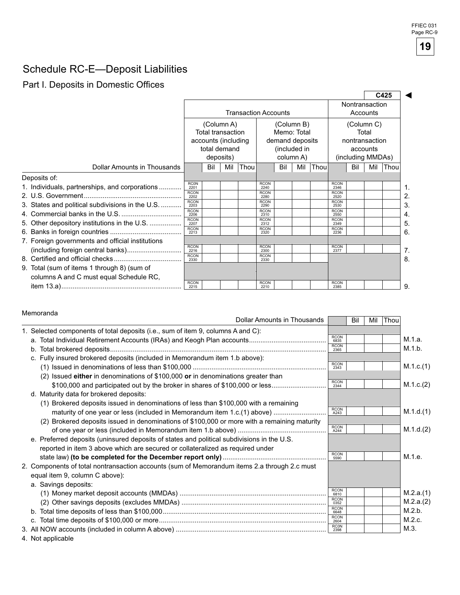### Schedule RC-E—Deposit Liabilities

### Part I. Deposits in Domestic Offices

|                                                  |                     |                          |           |                             |                                         |                 |  |      |                     |                |                               | C425 |  |  |
|--------------------------------------------------|---------------------|--------------------------|-----------|-----------------------------|-----------------------------------------|-----------------|--|------|---------------------|----------------|-------------------------------|------|--|--|
|                                                  |                     |                          |           | <b>Transaction Accounts</b> |                                         |                 |  |      |                     | Nontransaction | Accounts                      |      |  |  |
|                                                  |                     | (Column A)               |           |                             |                                         | (Column B)      |  |      |                     |                | (Column C)                    |      |  |  |
|                                                  |                     | <b>Total transaction</b> |           |                             |                                         | Memo: Total     |  |      |                     |                | Total                         |      |  |  |
|                                                  |                     | accounts (including      |           |                             |                                         | demand deposits |  |      | nontransaction      |                |                               |      |  |  |
|                                                  |                     | total demand             | deposits) |                             | (included in<br>column A)<br>Bil<br>Mil |                 |  |      |                     |                | accounts<br>(including MMDAs) |      |  |  |
| Dollar Amounts in Thousands                      |                     | Bil                      | Mil       | Thou                        |                                         |                 |  | Thou |                     | Bil            | Mil                           | Thou |  |  |
| Deposits of:                                     |                     |                          |           |                             |                                         |                 |  |      |                     |                |                               |      |  |  |
| 1. Individuals, partnerships, and corporations   | <b>RCON</b><br>2201 |                          |           |                             | <b>RCON</b><br>2240                     |                 |  |      | <b>RCON</b><br>2346 |                |                               |      |  |  |
|                                                  | <b>RCON</b><br>2202 |                          |           |                             | <b>RCON</b><br>2280                     |                 |  |      | <b>RCON</b><br>2520 |                |                               |      |  |  |
| 3. States and political subdivisions in the U.S. | <b>RCON</b><br>2203 |                          |           |                             | <b>RCON</b><br>2290                     |                 |  |      | <b>RCON</b><br>2530 |                |                               |      |  |  |
|                                                  | <b>RCON</b><br>2206 |                          |           |                             | <b>RCON</b><br>2310                     |                 |  |      | <b>RCON</b><br>2550 |                |                               |      |  |  |
| 5. Other depository institutions in the U.S.     | <b>RCON</b><br>2207 |                          |           |                             | <b>RCON</b><br>2312                     |                 |  |      | <b>RCON</b><br>2349 |                |                               |      |  |  |
|                                                  | <b>RCON</b><br>2213 |                          |           |                             | <b>RCON</b><br>2320                     |                 |  |      | <b>RCON</b><br>2236 |                |                               |      |  |  |
| 7. Foreign governments and official institutions |                     |                          |           |                             |                                         |                 |  |      |                     |                |                               |      |  |  |
| (including foreign central banks)                | <b>RCON</b><br>2216 |                          |           |                             | <b>RCON</b><br>2300                     |                 |  |      | <b>RCON</b><br>2377 |                |                               |      |  |  |
|                                                  | <b>RCON</b><br>2330 |                          |           |                             | <b>RCON</b><br>2330                     |                 |  |      |                     |                |                               |      |  |  |
| 9. Total (sum of items 1 through 8) (sum of      |                     |                          |           |                             |                                         |                 |  |      |                     |                |                               |      |  |  |
| columns A and C must equal Schedule RC,          |                     |                          |           |                             |                                         |                 |  |      |                     |                |                               |      |  |  |
|                                                  | <b>RCON</b><br>2215 |                          |           |                             | <b>RCON</b><br>2210                     |                 |  |      | <b>RCON</b><br>2385 |                |                               |      |  |  |

**19** 

FFIEC 031 Page RC-9

#### Memoranda

| <u>MGMOLOGN</u>                                                                              | Dollar Amounts in Thousands |                                    | Bil | Mil | Thou |           |
|----------------------------------------------------------------------------------------------|-----------------------------|------------------------------------|-----|-----|------|-----------|
| 1. Selected components of total deposits (i.e., sum of item 9, columns A and C):             |                             |                                    |     |     |      |           |
|                                                                                              |                             | <b>RCON</b><br>6835                |     |     |      | M.1.a.    |
|                                                                                              |                             | <b>RCON</b><br>2365                |     |     |      | M.1.b.    |
| c. Fully insured brokered deposits (included in Memorandum item 1.b above):                  |                             |                                    |     |     |      |           |
|                                                                                              |                             | <b>RCON</b><br>2343                |     |     |      | M.1.c.(1) |
| (2) Issued either in denominations of \$100,000 or in denominations greater than             |                             |                                    |     |     |      |           |
| \$100,000 and participated out by the broker in shares of \$100,000 or less                  |                             | <b>RCON</b><br>2344                |     |     |      | M.1.c.(2) |
| d. Maturity data for brokered deposits:                                                      |                             |                                    |     |     |      |           |
| (1) Brokered deposits issued in denominations of less than \$100,000 with a remaining        |                             |                                    |     |     |      |           |
| maturity of one year or less (included in Memorandum item 1.c.(1) above)                     |                             | <b>RCON</b><br>A243                |     |     |      | M.1.d.(1) |
| (2) Brokered deposits issued in denominations of \$100,000 or more with a remaining maturity |                             |                                    |     |     |      |           |
|                                                                                              |                             | <b>RCON</b><br>A244                |     |     |      | M.1.d.(2) |
| e. Preferred deposits (uninsured deposits of states and political subdivisions in the U.S.   |                             |                                    |     |     |      |           |
| reported in item 3 above which are secured or collateralized as required under               |                             |                                    |     |     |      |           |
|                                                                                              |                             | <b>RCON</b><br>5590                |     |     |      | M.1.e.    |
| 2. Components of total nontransaction accounts (sum of Memorandum items 2.a through 2.c must |                             |                                    |     |     |      |           |
| equal item 9, column C above):                                                               |                             |                                    |     |     |      |           |
| a. Savings deposits:                                                                         |                             |                                    |     |     |      |           |
|                                                                                              |                             | <b>RCON</b><br>6810<br><b>RCON</b> |     |     |      | M.2.a.(1) |
|                                                                                              |                             | 0352                               |     |     |      | M.2.a.(2) |
|                                                                                              |                             | <b>RCON</b><br>6648                |     |     |      | M.2.b.    |
|                                                                                              |                             | <b>RCON</b><br>2604                |     |     |      | M.2.c.    |
|                                                                                              |                             | <b>RCON</b><br>2398                |     |     |      | M.3.      |
| 4. Not applicable                                                                            |                             |                                    |     |     |      |           |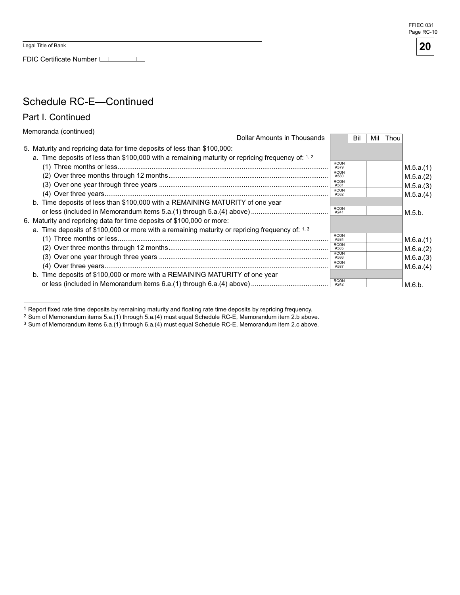FDIC Certificate Number LILLI



**20** 

### Schedule RC-E—Continued

Part I. Continued

Memoranda (continued)

|                                                                                                   | Dollar Amounts in Thousands |                     | Bil | Mil | Thou |           |
|---------------------------------------------------------------------------------------------------|-----------------------------|---------------------|-----|-----|------|-----------|
| 5. Maturity and repricing data for time deposits of less than \$100,000:                          |                             |                     |     |     |      |           |
| a. Time deposits of less than \$100,000 with a remaining maturity or repricing frequency of: 1, 2 |                             |                     |     |     |      |           |
|                                                                                                   |                             | <b>RCON</b><br>A579 |     |     |      | M.5.a.(1) |
|                                                                                                   |                             | <b>RCON</b><br>A580 |     |     |      | M.5.a.(2) |
|                                                                                                   |                             | <b>RCON</b><br>A581 |     |     |      | M.5.a.(3) |
|                                                                                                   |                             | <b>RCON</b><br>A582 |     |     |      | M.5.a.(4) |
| b. Time deposits of less than \$100,000 with a REMAINING MATURITY of one year                     |                             |                     |     |     |      |           |
|                                                                                                   |                             | <b>RCON</b><br>A241 |     |     |      | M.5.b.    |
| 6. Maturity and repricing data for time deposits of \$100,000 or more:                            |                             |                     |     |     |      |           |
| a. Time deposits of \$100,000 or more with a remaining maturity or repricing frequency of: 1, 3   |                             |                     |     |     |      |           |
|                                                                                                   |                             | <b>RCON</b><br>A584 |     |     |      | M.6.a.(1) |
|                                                                                                   |                             | <b>RCON</b><br>A585 |     |     |      | M.6.a.(2) |
|                                                                                                   |                             | <b>RCON</b><br>A586 |     |     |      | M.6.a.(3) |
|                                                                                                   |                             | <b>RCON</b><br>A587 |     |     |      | M.6.a.(4) |
| b. Time deposits of \$100,000 or more with a REMAINING MATURITY of one year                       |                             |                     |     |     |      |           |
|                                                                                                   |                             | <b>RCON</b><br>A242 |     |     |      | M.6.b.    |

 1 Report fixed rate time deposits by remaining maturity and floating rate time deposits by repricing frequency.

 $3$  Sum of Memorandum items 6.a.(1) through 6.a.(4) must equal Schedule RC-E, Memorandum item 2.c above.

<sup>&</sup>lt;sup>2</sup> Sum of Memorandum items 5.a.(1) through 5.a.(4) must equal Schedule RC-E, Memorandum item 2.b above.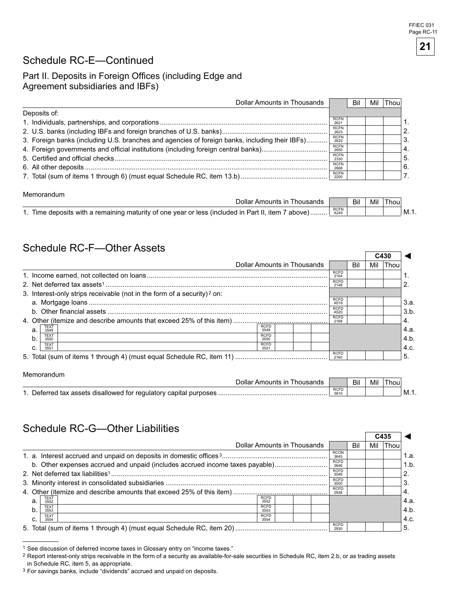h

### Schedule RC-E—Continued

### Part II. Deposits in Foreign Offices (including Edge and Agreement subsidiaries and IBFs)

| Dollar Amounts in Thousands                                                                    |                     | Bil | Mil | Thou |                  |
|------------------------------------------------------------------------------------------------|---------------------|-----|-----|------|------------------|
| Deposits of:                                                                                   |                     |     |     |      |                  |
|                                                                                                | <b>RCFN</b><br>262' |     |     |      |                  |
|                                                                                                | <b>RCFN</b><br>2623 |     |     |      | 2.               |
| 3. Foreign banks (including U.S. branches and agencies of foreign banks, including their IBFs) | <b>RCFN</b><br>2625 |     |     |      | 3.               |
|                                                                                                | <b>RCFN</b><br>2650 |     |     |      | $\overline{4}$ . |
|                                                                                                | <b>RCFN</b><br>2330 |     |     |      | 5.               |
|                                                                                                | <b>RCFN</b><br>2668 |     |     |      | 6.               |
|                                                                                                | <b>RCFN</b><br>2200 |     |     |      |                  |
|                                                                                                |                     |     |     |      |                  |

#### Memorandum

Memorandum

| Dollar Amounts in Thousands                                                                        |              | Bil | Mil | Thou |           |
|----------------------------------------------------------------------------------------------------|--------------|-----|-----|------|-----------|
| 1. Time deposits with a remaining maturity of one year or less (included in Part II, item 7 above) | RCFN<br>A245 |     |     |      | - I M. 1. |

### Schedule RC-F—Other Assets

|                                                                                     |                     |     | C430 |             |      |
|-------------------------------------------------------------------------------------|---------------------|-----|------|-------------|------|
| Dollar Amounts in Thousands                                                         |                     | Bil | Mil  | <b>Thou</b> |      |
|                                                                                     | <b>RCFD</b><br>2164 |     |      |             |      |
|                                                                                     | <b>RCFD</b><br>2148 |     |      |             |      |
| 3. Interest-only strips receivable (not in the form of a security) <sup>2</sup> on: |                     |     |      |             |      |
|                                                                                     | <b>RCFD</b><br>A519 |     |      |             | 3.a. |
|                                                                                     | <b>RCFD</b><br>A520 |     |      |             | 3.b. |
|                                                                                     | <b>RCFD</b><br>2168 |     |      |             | ΄4.  |
| <b>RCFD</b><br><b>TEXT</b><br>a.<br>3549<br>3549                                    |                     |     |      |             | 4.a. |
| <b>RCFD</b><br><b>TEXT</b><br>b.<br>3550<br>3550                                    |                     |     |      |             | 4.b. |
| <b>RCFD</b><br><b>TEXT</b><br>C.<br>3551<br>3551                                    |                     |     |      |             | 4.c. |
|                                                                                     | <b>RCFD</b><br>2160 |     |      |             | 5.   |

| <u>INSIDUMINUMI</u>                                               |                     |     |     |       |        |
|-------------------------------------------------------------------|---------------------|-----|-----|-------|--------|
| Dollar Amounts in Thousands                                       |                     | Bil | Mil | I hou |        |
| 1. Deferred tax assets disallowed for regulatory capital purposes | <b>RCFD</b><br>5610 |     |     |       | ' M.1. |

### Schedule RC-G—Other Liabilities

|                                                                              |                     |     | C435 |      |      |
|------------------------------------------------------------------------------|---------------------|-----|------|------|------|
| Dollar Amounts in Thousands                                                  |                     | Bil | Mil  | Thou |      |
|                                                                              | <b>RCON</b><br>3645 |     |      |      | 1.a. |
| b. Other expenses accrued and unpaid (includes accrued income taxes payable) | <b>RCFD</b><br>3646 |     |      |      | 1.b. |
|                                                                              | <b>RCFD</b><br>3049 |     |      |      | 2.   |
|                                                                              | <b>RCFD</b><br>3000 |     |      |      | 3    |
|                                                                              | <b>RCFD</b><br>2938 |     |      |      | 4.   |
| <b>RCFD</b><br><b>TEXT</b><br>а.<br>3552<br>3552                             |                     |     |      |      | 4.a. |
| <b>RCFD</b><br><b>TEXT</b><br>b.<br>3553<br>3553                             |                     |     |      |      | 4.b. |
| <b>RCFD</b><br><b>TEXT</b><br>C.<br>3554<br>3554                             |                     |     |      |      | 4.c. |
|                                                                              | <b>RCFD</b><br>2930 |     |      |      | 5    |

<sup>1</sup> See discussion of deferred income taxes in Glossary entry on "income taxes."

<sup>&</sup>lt;sup>2</sup> Report interest-only strips receivable in the form of a security as available-for-sale securities in Schedule RC, item 2.b, or as trading assets in Schedule RC, item 5, as appropriate.

<sup>3</sup> For savings banks, include "dividends" accrued and unpaid on deposits.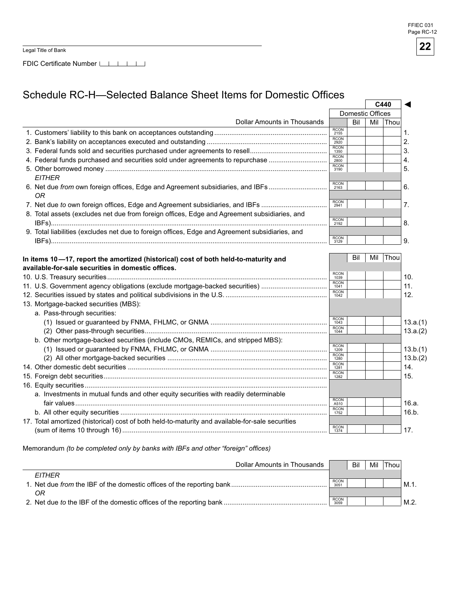Legal Title of Bank

FDIC Certificate Number

### Schedule RC-H—Selected Balance Sheet Items for Domestic Offices

|                                                                                                                                           |      |                     |                  |     | C440        |                  |
|-------------------------------------------------------------------------------------------------------------------------------------------|------|---------------------|------------------|-----|-------------|------------------|
|                                                                                                                                           |      |                     | Domestic Offices |     |             |                  |
| Dollar Amounts in Thousands                                                                                                               |      |                     | Bil              | Mil | Thou        |                  |
|                                                                                                                                           |      | <b>RCON</b><br>2155 |                  |     |             | 1.               |
|                                                                                                                                           |      | <b>RCON</b><br>2920 |                  |     |             | $\overline{2}$ . |
|                                                                                                                                           | 1350 | <b>RCON</b>         |                  |     |             | 3.               |
| 4. Federal funds purchased and securities sold under agreements to repurchase                                                             |      | <b>RCON</b><br>2800 |                  |     |             | 4.               |
|                                                                                                                                           |      | <b>RCON</b><br>3190 |                  |     |             | 5.               |
| <b>EITHER</b>                                                                                                                             |      |                     |                  |     |             |                  |
| 6. Net due from own foreign offices, Edge and Agreement subsidiaries, and IBFs<br>ΟR                                                      |      | <b>RCON</b><br>2163 |                  |     |             | 6.               |
| 7. Net due to own foreign offices, Edge and Agreement subsidiaries, and IBFs                                                              |      | <b>RCON</b><br>2941 |                  |     |             | 7.               |
| 8. Total assets (excludes net due from foreign offices, Edge and Agreement subsidiaries, and                                              |      | <b>RCON</b><br>2192 |                  |     |             | 8.               |
| 9. Total liabilities (excludes net due to foreign offices, Edge and Agreement subsidiaries, and                                           |      |                     |                  |     |             |                  |
|                                                                                                                                           |      | <b>RCON</b><br>3129 |                  |     |             | 9.               |
|                                                                                                                                           |      |                     |                  |     |             |                  |
| In items 10-17, report the amortized (historical) cost of both held-to-maturity and<br>available-for-sale securities in domestic offices. |      |                     | Bil              | Mil | <b>Thou</b> |                  |
|                                                                                                                                           |      | <b>RCON</b><br>1039 |                  |     |             | 10.              |
| 11. U.S. Government agency obligations (exclude mortgage-backed securities)                                                               |      | <b>RCON</b><br>1041 |                  |     |             | 11.              |
|                                                                                                                                           |      | <b>RCON</b><br>1042 |                  |     |             | 12.              |
| 13. Mortgage-backed securities (MBS):                                                                                                     |      |                     |                  |     |             |                  |
| a. Pass-through securities:                                                                                                               |      |                     |                  |     |             |                  |
|                                                                                                                                           |      | <b>RCON</b><br>1043 |                  |     |             | 13.a.(1)         |
|                                                                                                                                           |      | <b>RCON</b><br>1044 |                  |     |             | 13.a.(2)         |
| b. Other mortgage-backed securities (include CMOs, REMICs, and stripped MBS):                                                             |      |                     |                  |     |             |                  |
|                                                                                                                                           |      | <b>RCON</b><br>1209 |                  |     |             | 13.b.(1)         |
|                                                                                                                                           |      | <b>RCON</b><br>1280 |                  |     |             | 13.b.(2)         |
|                                                                                                                                           |      | <b>RCON</b><br>1281 |                  |     |             | 14.              |
|                                                                                                                                           |      | <b>RCON</b><br>1282 |                  |     |             | 15.              |
|                                                                                                                                           |      |                     |                  |     |             |                  |
| a. Investments in mutual funds and other equity securities with readily determinable                                                      |      |                     |                  |     |             |                  |
|                                                                                                                                           |      | RCON<br>A510        |                  |     |             | 16.a.            |
|                                                                                                                                           |      | <b>RCON</b><br>1752 |                  |     |             | 16.b.            |
| 17. Total amortized (historical) cost of both held-to-maturity and available-for-sale securities                                          |      |                     |                  |     |             |                  |
|                                                                                                                                           |      | RCON<br>1374        |                  |     |             | 17.              |
|                                                                                                                                           |      |                     |                  |     |             |                  |

Memorandum (to be completed only by banks with IBFs and other "foreign" offices)

| Dollar Amounts in Thousands                                         |                     | Bil | Mil | Thou |      |
|---------------------------------------------------------------------|---------------------|-----|-----|------|------|
| <b>FITHFR</b>                                                       |                     |     |     |      |      |
|                                                                     | <b>RCON</b><br>3051 |     |     |      | M.1. |
| OR                                                                  |                     |     |     |      |      |
| 2. Net due to the IBF of the domestic offices of the reporting bank | <b>RCON</b><br>3059 |     |     |      | M.2. |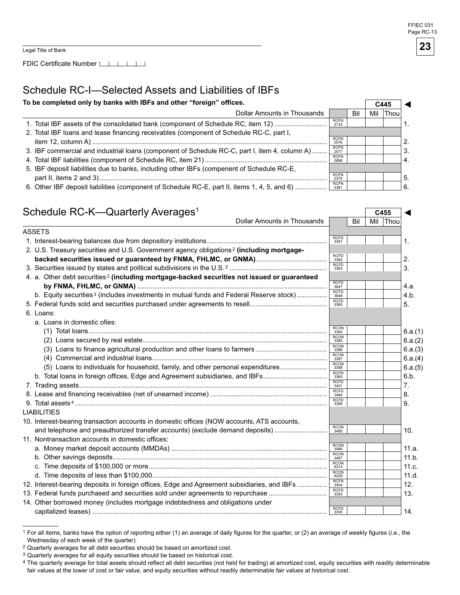FDIC Certificate Number  $\Box$  | | | |

### Schedule RC-I—Selected Assets and Liabilities of IBFs

To be completed only by banks with IBFs and other "foreign" offices.  $\sqrt{6445}$ 

| To be completed only by banks with IBFs and other "foreign" offices.                          |                     |     |     |      |     |
|-----------------------------------------------------------------------------------------------|---------------------|-----|-----|------|-----|
| Dollar Amounts in Thousands                                                                   |                     | Bil | Mil | Thou |     |
| 1. Total IBF assets of the consolidated bank (component of Schedule RC, item 12)              | <b>RCFN</b><br>2133 |     |     |      |     |
| 2. Total IBF loans and lease financing receivables (component of Schedule RC-C, part I,       |                     |     |     |      |     |
|                                                                                               | <b>RCFN</b><br>2076 |     |     |      |     |
| 3. IBF commercial and industrial loans (component of Schedule RC-C, part I, item 4, column A) | <b>RCFN</b><br>2077 |     |     |      | 3.  |
|                                                                                               | <b>RCFN</b><br>2898 |     |     |      |     |
| 5. IBF deposit liabilities due to banks, including other IBFs (compenent of Schedule RC-E,    |                     |     |     |      |     |
|                                                                                               | <b>RCFN</b><br>2379 |     |     |      | -5. |
| 6. Other IBF deposit liabilities (component of Schedule RC-E, part II, items 1, 4, 5, and 6)  | <b>RCFN</b><br>2381 |     |     |      | 6.  |

#### Schedule RC-K—Quarterly Averages<sup>1</sup> Dollar Amounts in Thousands **CAULT REGIST** CASS Dollar Amounts in Thousands ASSETS 1. Interest-bearing balances due from depository institutions................................................................ 2. U.S. Treasury securities and U.S. Government agency obligations<sup>2</sup> (including mortgage**backed securities issued or guaranteed by FNMA, FHLMC, or GNMA)**...................................... 3. Securities issued by states and political subdivisions in the U.S. 2 .................................................... 4. a. Other debt securities<sup>2</sup> (including mortgage-backed securities not issued or guaranteed **by FNMA, FHLMC, or GNMA)** ..................................................................................................... b. Equity securities<sup>3</sup> (includes investments in mutual funds and Federal Reserve stock) ................ 5. Federal funds sold and securities purchased under agreements to resell......................................... 6. Loans: a. Loans in domestic ofies: (1) Total loans............................................................................................................................... (2) Loans secured by real estate.................................................................................................. (3) Loans to finance agricultural production and other loans to farmers ...................................... (4) Commercial and industrial loans............................................................................................. (5) Loans to individuals for household, family, and other personal expenditures......................... b. Total loans in foreign offices, Edge and Agreement subsidiaries, and IBFs................................. 7. Trading assets.................................................................................................................................... 8. Lease and financing receivables (net of unearned income) .............................................................. 9. Total assets 4 ...................................................................................................................................... LIABILITIES 10. Interest-bearing transaction accounts in domestic offices (NOW accounts, ATS accounts, and telephone and preauthorized transfer accounts) (exclude demand deposits) ............................ 11. Nontransaction accounts in domestic offices: a. Money market deposit accounts (MMDAs) ................................................................................... b. Other savings deposits.................................................................................................................. c. Time deposits of \$1 , or more............................................................................................... d. Time deposits of less than \$1 , ............................................................................................. 12. Interest-bearing deposits in foreign offices, Edge and Agreement subsidiaries, and IBFs ................ 13. Federal funds purchased and securities sold under agreements to repurchase .............................. 14. Other borrowed money (includes mortgage indebtedness and obligations under capitalized leases) ............................................................................................................................. RCFD 3381 RCFD 3382 RCFD 3383 RCFD 3647 RCFD 3648 RCFD 3365 RCON 336 RCON 3385 RCON 3386 RCON 3387 RCON 3388 RCFN 336 RCFD<br>3401 RCFD 3484 RCFD 3368 RCON 3485 RCON 3486 RCON 3487 RCON A514 RCON A529 RCFN<br>3404 RCFD 3353 RCFD 3355 ◄ 1. 2. 3. 4.a. 4.b. 5. 6.a.(1) 6.a.(2) 6.a.(3) 6.a.(4) 6.a.(5) 6.b. 7. 8. 9.  $10.$ 11.a. 11.b. 11.c. 11.d. 12. 13. 14.

<sup>1</sup> For all items, banks have the option of reporting either (1) an average of daily figures for the quarter, or (2) an average of weekly figures (i.e., the Wednesday of each week of the quarter).

<sup>2</sup> Quarterly averages for all debt securities should be based on amortized cost.

<sup>&</sup>lt;sup>3</sup> Quarterly averages for all equity securities should be based on historical cost.

<sup>4</sup> The quarterly average for total assets should reflect all debt securities (not held for trading) at amortized cost, equity securities with readily determinable fair values at the lower of cost or fair value, and equity securities without readily determinable fair values at historical cost.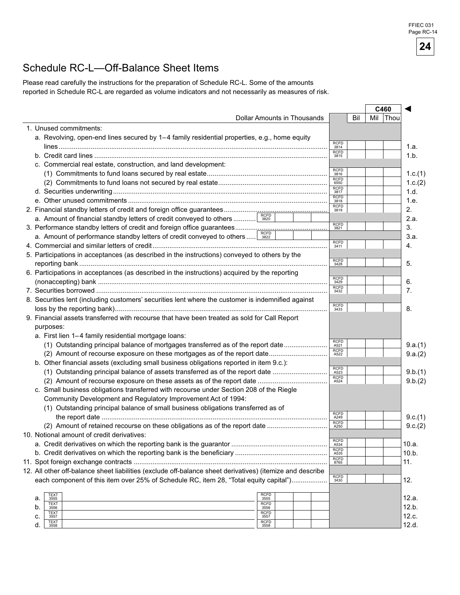# Schedule RC-L—Off-Balance Sheet Items

Please read carefully the instructions for the preparation of Schedule RC-L. Some of the amounts reported in Schedule RC-L are regarded as volume indicators and not necessarily as measures of risk.

|                                                                                                           |                             |                     | C460 |      |         |
|-----------------------------------------------------------------------------------------------------------|-----------------------------|---------------------|------|------|---------|
|                                                                                                           | Dollar Amounts in Thousands | Bil                 | Mil  | Thou |         |
| 1. Unused commitments:                                                                                    |                             |                     |      |      |         |
| a. Revolving, open-end lines secured by 1-4 family residential properties, e.g., home equity              |                             |                     |      |      |         |
|                                                                                                           |                             | <b>RCFD</b><br>3814 |      |      | 1.a.    |
|                                                                                                           |                             | <b>RCFD</b><br>3815 |      |      | 1.b.    |
| c. Commercial real estate, construction, and land development:                                            |                             |                     |      |      |         |
|                                                                                                           |                             | <b>RCFD</b><br>3816 |      |      | 1.c.(1) |
|                                                                                                           |                             | <b>RCFD</b><br>6550 |      |      | 1.c.(2) |
|                                                                                                           |                             | <b>RCFD</b><br>3817 |      |      | 1.d.    |
|                                                                                                           |                             | <b>RCFD</b><br>3818 |      |      | 1.e.    |
| 2. Financial standby letters of credit and foreign office guarantees                                      |                             | <b>RCFD</b><br>3819 |      | 2.   |         |
| a. Amount of financial standby letters of credit conveyed to others                                       | <b>RCFD</b><br>3820         |                     |      |      | 2.a.    |
|                                                                                                           |                             | <b>RCFD</b><br>3821 |      | 3.   |         |
| a. Amount of performance standby letters of credit conveyed to others  3822                               |                             |                     |      |      | 3.a.    |
|                                                                                                           |                             | <b>RCFD</b><br>3411 |      | 4.   |         |
| 5. Participations in acceptances (as described in the instructions) conveyed to others by the             |                             |                     |      |      |         |
|                                                                                                           |                             | <b>RCFD</b><br>3428 |      | 5.   |         |
| 6. Participations in acceptances (as described in the instructions) acquired by the reporting             |                             |                     |      |      |         |
|                                                                                                           |                             | <b>RCFD</b><br>3429 |      | 6.   |         |
| 7. Securities borrowed ………………………………………………………………………………………                                                  |                             | <b>RCFD</b><br>3432 |      | 7.   |         |
| 8. Securities lent (including customers' securities lent where the customer is indemnified against        |                             |                     |      |      |         |
|                                                                                                           |                             | <b>RCFD</b><br>3433 |      | 8.   |         |
| 9. Financial assets transferred with recourse that have been treated as sold for Call Report              |                             |                     |      |      |         |
| purposes:                                                                                                 |                             |                     |      |      |         |
| a. First lien 1-4 family residential mortgage loans:                                                      |                             |                     |      |      |         |
| (1) Outstanding principal balance of mortgages transferred as of the report date                          |                             | <b>RCFD</b>         |      |      | 9.a.(1) |
| (2) Amount of recourse exposure on these mortgages as of the report date                                  |                             | A521<br><b>RCFD</b> |      |      | 9.a.(2) |
| b. Other financial assets (excluding small business obligations reported in item 9.c.):                   |                             | A522                |      |      |         |
| (1) Outstanding principal balance of assets transferred as of the report date                             |                             | <b>RCFD</b>         |      |      | 9.b.(1) |
|                                                                                                           |                             | A523<br><b>RCFD</b> |      |      | 9.b.(2) |
| c. Small business obligations transferred with recourse under Section 208 of the Riegle                   |                             | A524                |      |      |         |
| Community Development and Regulatory Improvement Act of 1994:                                             |                             |                     |      |      |         |
| (1) Outstanding principal balance of small business obligations transferred as of                         |                             |                     |      |      |         |
|                                                                                                           |                             | <b>RCFD</b>         |      |      | 9.c.(1) |
| (2) Amount of retained recourse on these obligations as of the report date                                |                             | A249<br><b>RCFD</b> |      |      |         |
| 10. Notional amount of credit derivatives:                                                                |                             | A250                |      |      | 9.c.(2) |
|                                                                                                           |                             | <b>RCFD</b>         |      |      |         |
|                                                                                                           |                             | A534<br><b>RCFD</b> |      |      | 10.a.   |
|                                                                                                           |                             | A535<br><b>RCFD</b> |      |      | 10.b.   |
|                                                                                                           |                             | 8765                |      | 11.  |         |
| 12. All other off-balance sheet liabilities (exclude off-balance sheet derivatives) (itemize and describe |                             | <b>RCFD</b>         |      |      |         |
| each component of this item over 25% of Schedule RC, item 28, "Total equity capital")                     |                             | 3430                |      | 12.  |         |
| TEXT                                                                                                      | <b>RCFD</b>                 |                     |      |      |         |
| a.<br>3555<br><b>TEXT</b>                                                                                 | 3555<br><b>RCFD</b>         |                     |      |      | 12.a.   |
| b.<br>3556<br><b>TEXT</b>                                                                                 | 3556<br><b>RCFD</b>         |                     |      |      | 12.b.   |
| c.<br>3557<br><b>TEXT</b>                                                                                 | 3557<br><b>RCFD</b>         |                     |      |      | 12.c.   |
| d.<br>3558                                                                                                | 3558                        |                     |      |      | 12.d.   |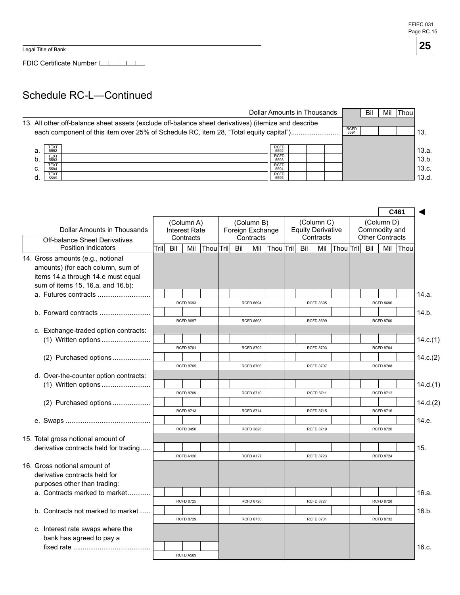Legal Title of Bank

FDIC Certificate Number

### Schedule RC-L—Continued

|    |                     |                                                                                                      |                     | Dollar Amounts in Thousands |             | Bil | Mil | <b>Thou</b> |       |
|----|---------------------|------------------------------------------------------------------------------------------------------|---------------------|-----------------------------|-------------|-----|-----|-------------|-------|
|    |                     | 13. All other off-balance sheet assets (exclude off-balance sheet derivatives) (itemize and describe |                     |                             | <b>RCFD</b> |     |     |             |       |
|    |                     | each component of this item over 25% of Schedule RC, item 28, "Total equity capital")                |                     |                             | 5591        |     |     |             | 13.   |
| a. | <b>TEXT</b><br>5592 |                                                                                                      | <b>RCFD</b><br>5592 |                             |             |     |     |             | 13.a. |
| b. | <b>TEXT</b><br>5593 |                                                                                                      | <b>RCFD</b><br>5593 |                             |             |     |     |             | 13.b. |
| c. | <b>TEXT</b><br>5594 |                                                                                                      | <b>RCFD</b><br>5594 |                             |             |     |     |             | 13.c. |
|    | <b>TEXT</b><br>5595 |                                                                                                      | <b>RCFD</b><br>5595 |                             |             |     |     |             | 13.d. |

|                                                                                                                                                   |       |     |                                          |                   |     |                                             |               |     |                                                     |                   |                                         |                                      | C461        |          |
|---------------------------------------------------------------------------------------------------------------------------------------------------|-------|-----|------------------------------------------|-------------------|-----|---------------------------------------------|---------------|-----|-----------------------------------------------------|-------------------|-----------------------------------------|--------------------------------------|-------------|----------|
| Dollar Amounts in Thousands                                                                                                                       |       |     | (Column A)<br>Interest Rate<br>Contracts |                   |     | (Column B)<br>Foreign Exchange<br>Contracts |               |     | (Column C)<br><b>Equity Derivative</b><br>Contracts |                   | Commodity and<br><b>Other Contracts</b> | (Column D)                           |             |          |
| <b>Off-balance Sheet Derivatives</b><br><b>Position Indicators</b>                                                                                | Trill | Bil |                                          | Mil   Thou   Tril | Bil |                                             | Mil Thou Tril | Bil |                                                     | Mil Thou Tril Bil |                                         | Mil                                  | <b>Thou</b> |          |
| 14. Gross amounts (e.g., notional<br>amounts) (for each column, sum of<br>items 14.a through 14.e must equal<br>sum of items 15, 16.a, and 16.b): |       |     |                                          |                   |     |                                             |               |     |                                                     |                   |                                         |                                      |             |          |
| a. Futures contracts                                                                                                                              |       |     |                                          |                   |     |                                             |               |     |                                                     |                   |                                         |                                      |             | 14.a.    |
| b. Forward contracts $\ldots$ $\ldots$ $\ldots$ $\ldots$ $\ldots$ $\ldots$ $\ldots$                                                               |       |     | <b>RCFD 8693</b><br><b>RCFD 8697</b>     |                   |     | <b>RCFD 8694</b><br><b>RCFD 8698</b>        |               |     | <b>RCFD 8695</b><br><b>RCFD 8699</b>                |                   |                                         | <b>RCFD 8696</b><br><b>RCFD 8700</b> |             | 14.b.    |
| c. Exchange-traded option contracts:                                                                                                              |       |     |                                          |                   |     |                                             |               |     |                                                     |                   |                                         |                                      |             |          |
|                                                                                                                                                   |       |     |                                          |                   |     |                                             |               |     |                                                     |                   |                                         |                                      |             | 14.c.(1) |
| (2) Purchased options                                                                                                                             |       |     | <b>RCFD 8701</b>                         |                   |     | <b>RCFD 8702</b>                            |               |     | <b>RCFD 8703</b>                                    |                   |                                         | <b>RCFD 8704</b>                     |             | 14.c.(2) |
| d. Over-the-counter option contracts:                                                                                                             |       |     | <b>RCFD 8705</b>                         |                   |     | <b>RCFD 8706</b>                            |               |     | <b>RCFD 8707</b>                                    |                   |                                         | <b>RCFD 8708</b>                     |             |          |
|                                                                                                                                                   |       |     | <b>RCFD 8709</b>                         |                   |     |                                             |               |     | <b>RCFD 8711</b>                                    |                   |                                         |                                      |             | 14.d.(1) |
| (2) Purchased options                                                                                                                             |       |     |                                          |                   |     | <b>RCFD 8710</b>                            |               |     |                                                     |                   |                                         | <b>RCFD 8712</b>                     |             | 14.d.(2) |
|                                                                                                                                                   |       |     | <b>RCFD 8713</b>                         |                   |     | <b>RCFD 8714</b>                            |               |     | <b>RCFD 8715</b>                                    |                   |                                         | <b>RCFD 8716</b>                     |             |          |
|                                                                                                                                                   |       |     | <b>RCFD 3450</b>                         |                   |     | <b>RCFD 3826</b>                            |               |     | <b>RCFD 8719</b>                                    |                   |                                         | <b>RCFD 8720</b>                     |             | 14.e.    |
| 15. Total gross notional amount of                                                                                                                |       |     |                                          |                   |     |                                             |               |     |                                                     |                   |                                         |                                      |             |          |
| derivative contracts held for trading                                                                                                             |       |     | RCFD A126                                |                   |     | RCFD A127                                   |               |     | <b>RCFD 8723</b>                                    |                   |                                         | <b>RCFD 8724</b>                     |             | 15.      |
| 16. Gross notional amount of<br>derivative contracts held for<br>purposes other than trading:                                                     |       |     |                                          |                   |     |                                             |               |     |                                                     |                   |                                         |                                      |             |          |
| a. Contracts marked to market                                                                                                                     |       |     |                                          |                   |     |                                             |               |     |                                                     |                   |                                         |                                      |             | 16.a.    |
|                                                                                                                                                   |       |     | <b>RCFD 8725</b>                         |                   |     | <b>RCFD 8726</b>                            |               |     | <b>RCFD 8727</b>                                    |                   |                                         | <b>RCFD 8728</b>                     |             |          |
| b. Contracts not marked to market                                                                                                                 |       |     | <b>RCFD 8729</b>                         |                   |     | <b>RCFD 8730</b>                            |               |     | <b>RCFD 8731</b>                                    |                   |                                         | <b>RCFD 8732</b>                     |             | 16.b.    |
| c. Interest rate swaps where the<br>bank has agreed to pay a                                                                                      |       |     |                                          |                   |     |                                             |               |     |                                                     |                   |                                         |                                      |             | 16.c.    |
|                                                                                                                                                   |       |     | RCFD A589                                |                   |     |                                             |               |     |                                                     |                   |                                         |                                      |             |          |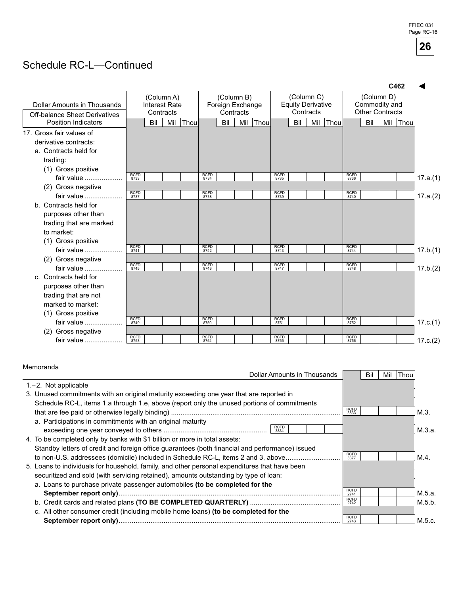## Schedule RC-L—Continued

|                                                                     |              |                      |                         |      |             |                  |                         |      |             |                                        |           |      |             |                                         |            | C462 |          |
|---------------------------------------------------------------------|--------------|----------------------|-------------------------|------|-------------|------------------|-------------------------|------|-------------|----------------------------------------|-----------|------|-------------|-----------------------------------------|------------|------|----------|
| Dollar Amounts in Thousands<br><b>Off-balance Sheet Derivatives</b> |              | <b>Interest Rate</b> | (Column A)<br>Contracts |      |             | Foreign Exchange | (Column B)<br>Contracts |      |             | (Column C)<br><b>Equity Derivative</b> | Contracts |      |             | Commodity and<br><b>Other Contracts</b> | (Column D) |      |          |
| <b>Position Indicators</b>                                          |              | Bil                  | Mil                     | Thou |             | Bil              | Mil                     | Thou |             | Bil                                    | Mil       | Thou |             | Bil                                     | Mil        | Thou |          |
| 17. Gross fair values of                                            |              |                      |                         |      |             |                  |                         |      |             |                                        |           |      |             |                                         |            |      |          |
| derivative contracts:                                               |              |                      |                         |      |             |                  |                         |      |             |                                        |           |      |             |                                         |            |      |          |
| a. Contracts held for                                               |              |                      |                         |      |             |                  |                         |      |             |                                        |           |      |             |                                         |            |      |          |
| trading:                                                            |              |                      |                         |      |             |                  |                         |      |             |                                        |           |      |             |                                         |            |      |          |
| (1) Gross positive                                                  | <b>RCFD</b>  |                      |                         |      | <b>RCFD</b> |                  |                         |      | <b>RCFD</b> |                                        |           |      | <b>RCFD</b> |                                         |            |      |          |
| fair value                                                          | 8733         |                      |                         |      | 8734        |                  |                         |      | 8735        |                                        |           |      | 8736        |                                         |            |      | 17.a.(1) |
| (2) Gross negative                                                  |              |                      |                         |      | <b>RCFD</b> |                  |                         |      | <b>RCFD</b> |                                        |           |      | <b>RCFD</b> |                                         |            |      |          |
| fair value                                                          | RCFD<br>8737 |                      |                         |      | 8738        |                  |                         |      | 8739        |                                        |           |      | 8740        |                                         |            |      | 17.a.(2) |
| b. Contracts held for                                               |              |                      |                         |      |             |                  |                         |      |             |                                        |           |      |             |                                         |            |      |          |
| purposes other than                                                 |              |                      |                         |      |             |                  |                         |      |             |                                        |           |      |             |                                         |            |      |          |
| trading that are marked                                             |              |                      |                         |      |             |                  |                         |      |             |                                        |           |      |             |                                         |            |      |          |
| to market:                                                          |              |                      |                         |      |             |                  |                         |      |             |                                        |           |      |             |                                         |            |      |          |
| (1) Gross positive                                                  | <b>RCFD</b>  |                      |                         |      | <b>RCFD</b> |                  |                         |      | <b>RCFD</b> |                                        |           |      | <b>RCFD</b> |                                         |            |      |          |
| fair value                                                          | 8741         |                      |                         |      | 8742        |                  |                         |      | 8743        |                                        |           |      | 8744        |                                         |            |      | 17.b.(1) |
| (2) Gross negative                                                  | <b>RCFD</b>  |                      |                         |      | <b>RCFD</b> |                  |                         |      | <b>RCFD</b> |                                        |           |      | <b>RCFD</b> |                                         |            |      |          |
| fair value                                                          | 8745         |                      |                         |      | 8746        |                  |                         |      | 8747        |                                        |           |      | 8748        |                                         |            |      | 17.b.(2) |
| c. Contracts held for                                               |              |                      |                         |      |             |                  |                         |      |             |                                        |           |      |             |                                         |            |      |          |
| purposes other than                                                 |              |                      |                         |      |             |                  |                         |      |             |                                        |           |      |             |                                         |            |      |          |
| trading that are not<br>marked to market:                           |              |                      |                         |      |             |                  |                         |      |             |                                        |           |      |             |                                         |            |      |          |
|                                                                     |              |                      |                         |      |             |                  |                         |      |             |                                        |           |      |             |                                         |            |      |          |
| (1) Gross positive<br>fair value                                    | <b>RCFD</b>  |                      |                         |      | <b>RCFD</b> |                  |                         |      | <b>RCFD</b> |                                        |           |      | <b>RCFD</b> |                                         |            |      |          |
| (2) Gross negative                                                  | 8749         |                      |                         |      | 8750        |                  |                         |      | 8751        |                                        |           |      | 8752        |                                         |            |      | 17.c.(1) |
| fair value                                                          | <b>RCFD</b>  |                      |                         |      | <b>RCFD</b> |                  |                         |      | <b>RCFD</b> |                                        |           |      | <b>RCFD</b> |                                         |            |      | 17.c.(2) |
|                                                                     | 8753         |                      |                         |      | 8754        |                  |                         |      | 8755        |                                        |           |      | 8756        |                                         |            |      |          |

#### Memoranda

| <u>iviernoranua</u>                                                                             |                     |     |     |       |        |
|-------------------------------------------------------------------------------------------------|---------------------|-----|-----|-------|--------|
| Dollar Amounts in Thousands                                                                     |                     | Bil | Mil | lThou |        |
| $1 - 2$ . Not applicable                                                                        |                     |     |     |       |        |
| 3. Unused commitments with an original maturity exceeding one year that are reported in         |                     |     |     |       |        |
| Schedule RC-L, items 1.a through 1.e, above (report only the unused portions of commitments     |                     |     |     |       |        |
|                                                                                                 | <b>RCFD</b><br>3833 |     |     |       | M.3.   |
| a. Participations in commitments with an original maturity                                      |                     |     |     |       |        |
| <b>RCFD</b>                                                                                     |                     |     |     |       | M.3.a. |
| 4. To be completed only by banks with \$1 billion or more in total assets:                      |                     |     |     |       |        |
| Standby letters of credit and foreign office guarantees (both financial and performance) issued |                     |     |     |       |        |
| to non-U.S. addressees (domicile) included in Schedule RC-L, items 2 and 3, above               | <b>RCFD</b><br>3377 |     |     |       | M.4.   |
| 5. Loans to individuals for household, family, and other personal expenditures that have been   |                     |     |     |       |        |
| securitized and sold (with servicing retained), amounts outstanding by type of loan:            |                     |     |     |       |        |
| a. Loans to purchase private passenger automobiles (to be completed for the                     |                     |     |     |       |        |
|                                                                                                 | <b>RCFD</b><br>2741 |     |     |       | M.5.a. |
|                                                                                                 | <b>RCFD</b><br>2742 |     |     |       | M.5.b. |
| c. All other consumer credit (including mobile home loans) (to be completed for the             |                     |     |     |       |        |
|                                                                                                 | <b>RCFD</b><br>2743 |     |     |       | M.5.c. |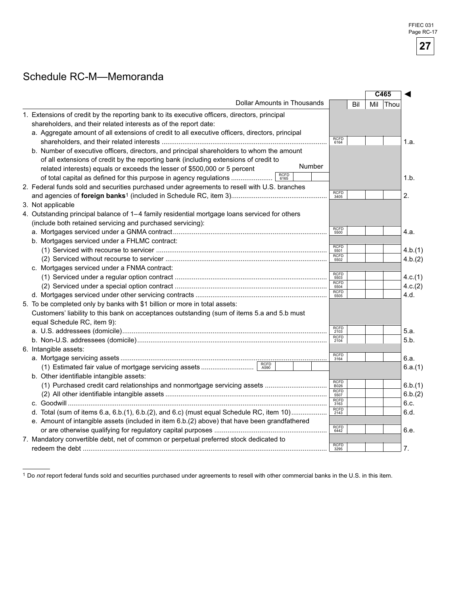### Schedule RC-M—Memoranda

|                                                                                                 |                            |     | $\overline{C465}$ |          |         |
|-------------------------------------------------------------------------------------------------|----------------------------|-----|-------------------|----------|---------|
| <b>Dollar Amounts in Thousands</b>                                                              |                            | Bil |                   | Mil Thou |         |
| 1. Extensions of credit by the reporting bank to its executive officers, directors, principal   |                            |     |                   |          |         |
| shareholders, and their related interests as of the report date:                                |                            |     |                   |          |         |
| a. Aggregate amount of all extensions of credit to all executive officers, directors, principal |                            |     |                   |          |         |
|                                                                                                 | <b>RCFD</b><br>6164        |     |                   |          | 1.a.    |
| b. Number of executive officers, directors, and principal shareholders to whom the amount       |                            |     |                   |          |         |
| of all extensions of credit by the reporting bank (including extensions of credit to            |                            |     |                   |          |         |
| Number<br>related interests) equals or exceeds the lesser of \$500,000 or 5 percent             |                            |     |                   |          |         |
| <b>RCFD</b><br>of total capital as defined for this purpose in agency regulations<br>6165       |                            |     |                   |          | 1.b.    |
| 2. Federal funds sold and securities purchased under agreements to resell with U.S. branches    |                            |     |                   |          |         |
|                                                                                                 | <b>RCFD</b><br>3405        |     |                   |          | 2.      |
| 3. Not applicable                                                                               |                            |     |                   |          |         |
| 4. Outstanding principal balance of 1-4 family residential mortgage loans serviced for others   |                            |     |                   |          |         |
| (include both retained servicing and purchased servicing):                                      |                            |     |                   |          |         |
|                                                                                                 | <b>RCFD</b><br>5500        |     |                   |          | 4.a.    |
| b. Mortgages serviced under a FHLMC contract:                                                   |                            |     |                   |          |         |
|                                                                                                 | <b>RCFD</b><br>5501        |     |                   |          | 4.b.(1) |
|                                                                                                 | <b>RCFD</b><br>5502        |     |                   |          | 4.b.(2) |
| c. Mortgages serviced under a FNMA contract:                                                    |                            |     |                   |          |         |
|                                                                                                 | <b>RCFD</b><br>5503        |     |                   |          | 4.c.(1) |
|                                                                                                 | <b>RCFD</b><br>5504        |     |                   |          | 4.c.(2) |
|                                                                                                 | <b>RCFD</b><br>5505        |     |                   |          | 4.d.    |
| 5. To be completed only by banks with \$1 billion or more in total assets:                      |                            |     |                   |          |         |
| Customers' liability to this bank on acceptances outstanding (sum of items 5.a and 5.b must     |                            |     |                   |          |         |
| equal Schedule RC, item 9):                                                                     |                            |     |                   |          |         |
|                                                                                                 | <b>RCFD</b><br>2103        |     |                   |          | 5.a.    |
|                                                                                                 | <b>RCFD</b><br>2104        |     |                   |          | 5.b.    |
| 6. Intangible assets:                                                                           |                            |     |                   |          |         |
|                                                                                                 | <b>RCFD</b><br>3164        |     |                   |          | 6.a.    |
|                                                                                                 |                            |     |                   |          | 6.a.(1) |
| b. Other identifiable intangible assets:                                                        |                            |     |                   |          |         |
| (1) Purchased credit card relationships and nonmortgage servicing assets                        | <b>RCFD</b><br><b>B026</b> |     |                   |          | 6.b.(1) |
|                                                                                                 | RCFD<br>5507               |     |                   |          | 6.b.(2) |
|                                                                                                 | <b>RCFD</b><br>3163        |     |                   |          | 6.c.    |
| d. Total (sum of items 6.a, 6.b.(1), 6.b.(2), and 6.c) (must equal Schedule RC, item 10)        | RCFD<br>2143               |     |                   |          | 6.d.    |
| e. Amount of intangible assets (included in item 6.b.(2) above) that have been grandfathered    |                            |     |                   |          |         |
|                                                                                                 | <b>RCFD</b>                |     |                   |          | 6.e.    |
| 7. Mandatory convertible debt, net of common or perpetual preferred stock dedicated to          | 6442                       |     |                   |          |         |
|                                                                                                 | <b>RCFD</b>                |     |                   |          |         |
|                                                                                                 | 3295                       |     |                   |          | 7.      |

Do *not* report federal funds sold and securities purchased under agreements to resell with other commercial banks in the U.S. in this item.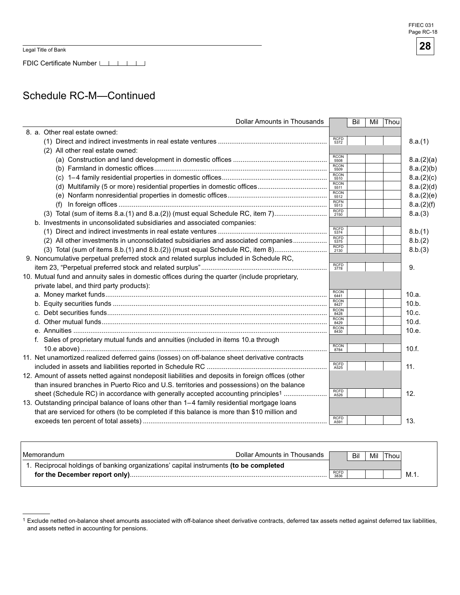٦

Legal Title of Bank

 $\overline{\Gamma}$ 

FDIC Certificate Number

### Schedule RC-M—Continued

| Dollar Amounts in Thousands                                                                                                                 |                     | Bil | Mil | Thou |            |
|---------------------------------------------------------------------------------------------------------------------------------------------|---------------------|-----|-----|------|------------|
| 8. a. Other real estate owned:                                                                                                              |                     |     |     |      |            |
|                                                                                                                                             | <b>RCFD</b><br>5372 |     |     |      | 8.a.(1)    |
| (2) All other real estate owned:                                                                                                            |                     |     |     |      |            |
|                                                                                                                                             | <b>RCON</b><br>5508 |     |     |      | 8.a.(2)(a) |
|                                                                                                                                             | <b>RCON</b><br>5509 |     |     |      | 8.a.(2)(b) |
|                                                                                                                                             | <b>RCON</b><br>5510 |     |     |      | 8.a.(2)(c) |
|                                                                                                                                             | <b>RCON</b><br>5511 |     |     |      | 8.a.(2)(d) |
|                                                                                                                                             | <b>RCON</b><br>5512 |     |     |      | 8.a.(2)(e) |
|                                                                                                                                             | <b>RCFN</b><br>5513 |     |     |      | 8.a.(2)(f) |
| (3) Total (sum of items 8.a.(1) and 8.a.(2)) (must equal Schedule RC, item 7)                                                               | <b>RCFD</b><br>2150 |     |     |      | 8.a.(3)    |
| b. Investments in unconsolidated subsidiaries and associated companies:                                                                     |                     |     |     |      |            |
|                                                                                                                                             | <b>RCFD</b><br>5374 |     |     |      | 8.b.(1)    |
| (2) All other investments in unconsolidated subsidiaries and associated companies                                                           | <b>RCFD</b><br>5375 |     |     |      | 8.b.(2)    |
| (3) Total (sum of items 8.b.(1) and 8.b.(2)) (must equal Schedule RC, item 8)                                                               | RCFD<br>2130        |     |     |      | 8.b.(3)    |
| 9. Noncumulative perpetual preferred stock and related surplus included in Schedule RC,                                                     |                     |     |     |      |            |
|                                                                                                                                             | <b>RCFD</b><br>3778 |     |     |      | 9.         |
| 10. Mutual fund and annuity sales in domestic offices during the quarter (include proprietary,<br>private label, and third party products): |                     |     |     |      |            |
|                                                                                                                                             | <b>RCON</b><br>6441 |     |     |      | 10.a.      |
|                                                                                                                                             | <b>RCON</b><br>8427 |     |     |      | 10.b.      |
|                                                                                                                                             | <b>RCON</b><br>8428 |     |     |      | 10.c.      |
|                                                                                                                                             | <b>RCON</b><br>8429 |     |     |      | 10.d.      |
|                                                                                                                                             | <b>RCON</b><br>8430 |     |     |      | 10.e.      |
| f. Sales of proprietary mutual funds and annuities (included in items 10.a through                                                          |                     |     |     |      |            |
|                                                                                                                                             | <b>RCON</b><br>8784 |     |     |      | 10.f.      |
| 11. Net unamortized realized deferred gains (losses) on off-balance sheet derivative contracts                                              |                     |     |     |      |            |
|                                                                                                                                             | <b>RCFD</b><br>A525 |     |     |      | 11.        |
| 12. Amount of assets netted against nondeposit liabilities and deposits in foreign offices (other                                           |                     |     |     |      |            |
| than insured branches in Puerto Rico and U.S. territories and possessions) on the balance                                                   |                     |     |     |      |            |
| sheet (Schedule RC) in accordance with generally accepted accounting principles <sup>1</sup>                                                | <b>RCFD</b><br>A526 |     |     |      | 12.        |
| 13. Outstanding principal balance of loans other than 1-4 family residential mortgage loans                                                 |                     |     |     |      |            |
| that are serviced for others (to be completed if this balance is more than \$10 million and                                                 |                     |     |     |      |            |
|                                                                                                                                             | <b>RCFD</b>         |     |     |      | 13.        |
|                                                                                                                                             | A591                |     |     |      |            |

| l Memorandum                                                                          | Dollar Amounts in Thousands |  | Bil | Mil I | <b>Thou</b> |  |
|---------------------------------------------------------------------------------------|-----------------------------|--|-----|-------|-------------|--|
| 1. Reciprocal holdings of banking organizations' capital instruments (to be completed |                             |  |     |       |             |  |
|                                                                                       | <b>RCFD</b><br>3836         |  |     |       | M.1         |  |
|                                                                                       |                             |  |     |       |             |  |

Exclude netted on-balance sheet amounts associated with off-balance sheet derivative contracts, deferred tax assets netted against deferred tax liabilities, and assets netted in accounting for pensions.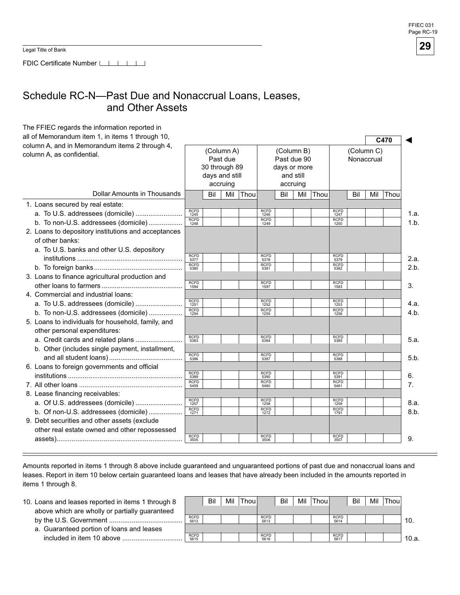FDIC Certificate Number

### Schedule RC-N—Past Due and Nonaccrual Loans, Leases, and Other Assets

| The FFIEC regards the information reported in                                |                     |                                 |                                    |      |                     |                                                                    |     |      |                     |     |                          |      |      |
|------------------------------------------------------------------------------|---------------------|---------------------------------|------------------------------------|------|---------------------|--------------------------------------------------------------------|-----|------|---------------------|-----|--------------------------|------|------|
| all of Memorandum item 1, in items 1 through 10,                             |                     |                                 |                                    |      |                     |                                                                    |     |      |                     |     |                          | C470 |      |
| column A, and in Memorandum items 2 through 4,<br>column A, as confidential. |                     | 30 through 89<br>days and still | (Column A)<br>Past due<br>accruing |      |                     | (Column B)<br>Past due 90<br>days or more<br>and still<br>accruing |     |      |                     |     | (Column C)<br>Nonaccrual |      |      |
| Dollar Amounts in Thousands                                                  |                     | Bil                             | Mil                                | Thou |                     | Bil                                                                | Mil | Thou |                     | Bil | Mil                      | Thou |      |
| 1. Loans secured by real estate:                                             |                     |                                 |                                    |      |                     |                                                                    |     |      |                     |     |                          |      |      |
| a. To U.S. addressees (domicile)                                             | <b>RCFD</b><br>1245 |                                 |                                    |      | <b>RCFD</b><br>1246 |                                                                    |     |      | <b>RCFD</b><br>1247 |     |                          |      | 1.a. |
| b. To non-U.S. addressees (domicile)                                         | <b>RCFD</b><br>1248 |                                 |                                    |      | <b>RCFD</b><br>1249 |                                                                    |     |      | <b>RCFD</b><br>1250 |     |                          |      | 1.b. |
| 2. Loans to depository institutions and acceptances                          |                     |                                 |                                    |      |                     |                                                                    |     |      |                     |     |                          |      |      |
| of other banks:                                                              |                     |                                 |                                    |      |                     |                                                                    |     |      |                     |     |                          |      |      |
| a. To U.S. banks and other U.S. depository                                   |                     |                                 |                                    |      |                     |                                                                    |     |      |                     |     |                          |      |      |
|                                                                              | <b>RCFD</b><br>5377 |                                 |                                    |      | <b>RCFD</b><br>5378 |                                                                    |     |      | <b>RCFD</b><br>5379 |     |                          |      | 2.a. |
|                                                                              | <b>RCFD</b><br>5380 |                                 |                                    |      | <b>RCFD</b><br>5381 |                                                                    |     |      | <b>RCFD</b><br>5382 |     |                          |      | 2.b. |
| 3. Loans to finance agricultural production and                              |                     |                                 |                                    |      |                     |                                                                    |     |      |                     |     |                          |      |      |
|                                                                              | <b>RCFD</b><br>1594 |                                 |                                    |      | <b>RCFD</b><br>1597 |                                                                    |     |      | <b>RCFD</b><br>1583 |     |                          |      | 3.   |
| 4. Commercial and industrial loans:                                          |                     |                                 |                                    |      |                     |                                                                    |     |      |                     |     |                          |      |      |
| a. To U.S. addressees (domicile)                                             | <b>RCFD</b><br>1251 |                                 |                                    |      | <b>RCFD</b><br>1252 |                                                                    |     |      | <b>RCFD</b><br>1253 |     |                          |      | 4.a. |
| b. To non-U.S. addressees (domicile)                                         | <b>RCFD</b><br>1254 |                                 |                                    |      | <b>RCFD</b><br>1255 |                                                                    |     |      | <b>RCFD</b><br>1256 |     |                          |      | 4.b. |
| 5. Loans to individuals for household, family, and                           |                     |                                 |                                    |      |                     |                                                                    |     |      |                     |     |                          |      |      |
| other personal expenditures:                                                 |                     |                                 |                                    |      |                     |                                                                    |     |      |                     |     |                          |      |      |
| a. Credit cards and related plans                                            | <b>RCFD</b><br>5383 |                                 |                                    |      | <b>RCFD</b><br>5384 |                                                                    |     |      | <b>RCFD</b><br>5385 |     |                          |      | 5.a. |
| b. Other (includes single payment, installment,                              |                     |                                 |                                    |      |                     |                                                                    |     |      |                     |     |                          |      |      |
|                                                                              | <b>RCFD</b><br>5386 |                                 |                                    |      | <b>RCFD</b><br>5387 |                                                                    |     |      | <b>RCFD</b><br>5388 |     |                          |      | 5.b. |
| 6. Loans to foreign governments and official                                 |                     |                                 |                                    |      |                     |                                                                    |     |      |                     |     |                          |      |      |
|                                                                              | <b>RCFD</b><br>5389 |                                 |                                    |      | <b>RCFD</b><br>5390 |                                                                    |     |      | <b>RCFD</b><br>5391 |     |                          |      | 6.   |
|                                                                              | <b>RCFD</b><br>5459 |                                 |                                    |      | <b>RCFD</b><br>5460 |                                                                    |     |      | <b>RCFD</b><br>5461 |     |                          |      | 7.   |
| 8. Lease financing receivables:                                              |                     |                                 |                                    |      |                     |                                                                    |     |      |                     |     |                          |      |      |
| a. Of U.S. addressees (domicile)                                             | <b>RCFD</b><br>1257 |                                 |                                    |      | <b>RCFD</b><br>1258 |                                                                    |     |      | <b>RCFD</b><br>1259 |     |                          |      | 8.a. |
| b. Of non-U.S. addressees (domicile)                                         | <b>RCFD</b><br>1271 |                                 |                                    |      | <b>RCFD</b><br>1272 |                                                                    |     |      | <b>RCFD</b><br>1791 |     |                          |      | 8.b. |
| 9. Debt securities and other assets (exclude                                 |                     |                                 |                                    |      |                     |                                                                    |     |      |                     |     |                          |      |      |
| other real estate owned and other repossessed                                |                     |                                 |                                    |      |                     |                                                                    |     |      |                     |     |                          |      |      |
|                                                                              | <b>RCFD</b><br>3505 |                                 |                                    |      | <b>RCFD</b><br>3506 |                                                                    |     |      | <b>RCFD</b><br>3507 |     |                          |      | 9.   |

Amounts reported in items 1 through 8 above include guaranteed and unguaranteed portions of past due and nonaccrual loans and leases. Report in item 10 below certain guaranteed loans and leases that have already been included in the amounts reported in items 1 through 8.

| 10. Loans and leases reported in items 1 through 8 |                     | Bil | Mil | Thoul |                     | Bil | Mil | Thoul |                     | Bil | Mil | <b>Thou</b> |       |
|----------------------------------------------------|---------------------|-----|-----|-------|---------------------|-----|-----|-------|---------------------|-----|-----|-------------|-------|
| above which are wholly or partially guaranteed     |                     |     |     |       |                     |     |     |       |                     |     |     |             |       |
|                                                    | <b>RCFD</b><br>5612 |     |     |       | <b>RCFD</b><br>5613 |     |     |       | <b>RCFD</b><br>5614 |     |     |             | 10.   |
| a. Guaranteed portion of loans and leases          |                     |     |     |       |                     |     |     |       |                     |     |     |             |       |
| included in item 10 above                          | <b>RCFD</b><br>5615 |     |     |       | <b>RCFD</b><br>5616 |     |     |       | <b>RCFD</b><br>5617 |     |     |             | 10.a. |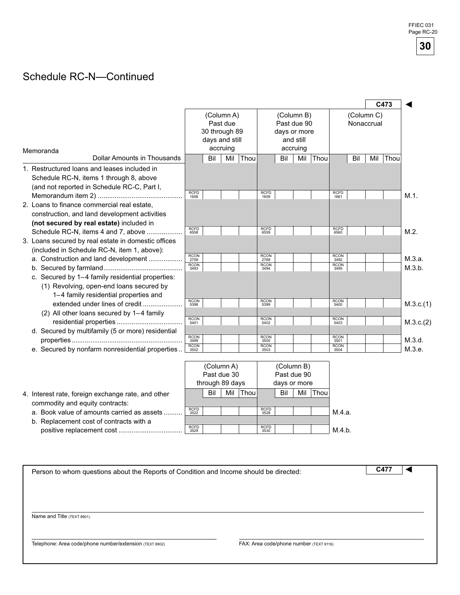## Schedule RC-N—Continued

|                                                                                                                                        |                             |                                 |                        |      |                             |              |                           |      |                             |                          |     | C473 |                  |
|----------------------------------------------------------------------------------------------------------------------------------------|-----------------------------|---------------------------------|------------------------|------|-----------------------------|--------------|---------------------------|------|-----------------------------|--------------------------|-----|------|------------------|
|                                                                                                                                        |                             |                                 | (Column A)<br>Past due |      |                             |              | (Column B)<br>Past due 90 |      |                             | (Column C)<br>Nonaccrual |     |      |                  |
|                                                                                                                                        |                             | 30 through 89<br>days and still |                        |      |                             | days or more | and still                 |      |                             |                          |     |      |                  |
| Memoranda                                                                                                                              |                             |                                 | accruing               |      |                             |              | accruing                  |      |                             |                          |     |      |                  |
| Dollar Amounts in Thousands                                                                                                            |                             | Bil                             | Mil                    | Thou |                             | Bil          | Mil                       | Thou |                             | Bil                      | Mil | Thou |                  |
| 1. Restructured loans and leases included in<br>Schedule RC-N, items 1 through 8, above<br>(and not reported in Schedule RC-C, Part I, |                             |                                 |                        |      |                             |              |                           |      |                             |                          |     |      |                  |
|                                                                                                                                        | <b>RCFD</b><br>1658         |                                 |                        |      | <b>RCFD</b><br>1659         |              |                           |      | <b>RCFD</b><br>1661         |                          |     |      | $M.1$ .          |
| 2. Loans to finance commercial real estate,<br>construction, and land development activities                                           |                             |                                 |                        |      |                             |              |                           |      |                             |                          |     |      |                  |
| (not secured by real estate) included in                                                                                               |                             |                                 |                        |      |                             |              |                           |      |                             |                          |     |      |                  |
| Schedule RC-N, items 4 and 7, above                                                                                                    | <b>RCFD</b><br>6558         |                                 |                        |      | <b>RCFD</b><br>6559         |              |                           |      | <b>RCFD</b><br>6560         |                          |     |      | $M.2$ .          |
| 3. Loans secured by real estate in domestic offices                                                                                    |                             |                                 |                        |      |                             |              |                           |      |                             |                          |     |      |                  |
| (included in Schedule RC-N, item 1, above):                                                                                            | <b>RCON</b>                 |                                 |                        |      | <b>RCON</b>                 |              |                           |      | <b>RCON</b>                 |                          |     |      |                  |
| a. Construction and land development                                                                                                   | 2759<br><b>RCON</b><br>3493 |                                 |                        |      | 2769<br><b>RCON</b><br>3494 |              |                           |      | 3492<br><b>RCON</b><br>3495 |                          |     |      | M.3.a.<br>M.3.b. |
| c. Secured by 1-4 family residential properties:                                                                                       |                             |                                 |                        |      |                             |              |                           |      |                             |                          |     |      |                  |
| (1) Revolving, open-end loans secured by                                                                                               |                             |                                 |                        |      |                             |              |                           |      |                             |                          |     |      |                  |
| 1-4 family residential properties and                                                                                                  |                             |                                 |                        |      |                             |              |                           |      |                             |                          |     |      |                  |
|                                                                                                                                        | <b>RCON</b><br>5398         |                                 |                        |      | <b>RCON</b><br>5399         |              |                           |      | <b>RCON</b><br>5400         |                          |     |      | M.3.c.(1)        |
| (2) All other loans secured by 1-4 family                                                                                              |                             |                                 |                        |      |                             |              |                           |      |                             |                          |     |      |                  |
|                                                                                                                                        | <b>RCON</b><br>5401         |                                 |                        |      | <b>RCON</b><br>5402         |              |                           |      | <b>RCON</b><br>5403         |                          |     |      | M.3.c.(2)        |
| d. Secured by multifamily (5 or more) residential                                                                                      |                             |                                 |                        |      |                             |              |                           |      |                             |                          |     |      |                  |
|                                                                                                                                        | <b>RCON</b><br>3499         |                                 |                        |      | <b>RCON</b><br>3500         |              |                           |      | <b>RCON</b><br>3501         |                          |     |      | M.3.d.           |
| e. Secured by nonfarm nonresidential properties.                                                                                       | <b>RCON</b><br>3502         |                                 |                        |      | <b>RCON</b><br>3503         |              |                           |      | <b>RCON</b><br>3504         |                          |     |      | M.3.e.           |

|                                                    |                     | (Column A)      |     |       |                     | (Column B)   |     |       |        |
|----------------------------------------------------|---------------------|-----------------|-----|-------|---------------------|--------------|-----|-------|--------|
|                                                    |                     | Past due 30     |     |       | Past due 90         |              |     |       |        |
|                                                    |                     | through 89 days |     |       |                     | days or more |     |       |        |
| 4. Interest rate, foreign exchange rate, and other |                     | Bil             | Mil | Thoul |                     | Bil          | Mil | Thoul |        |
| commodity and equity contracts:                    |                     |                 |     |       |                     |              |     |       |        |
| a. Book value of amounts carried as assets.        | <b>RCFD</b><br>3522 |                 |     |       | <b>RCFD</b><br>3528 |              |     |       | М.4.а. |
| b. Replacement cost of contracts with a            |                     |                 |     |       |                     |              |     |       |        |
| positive replacement cost.                         | <b>RCFD</b><br>3529 |                 |     |       | <b>RCFD</b><br>3530 |              |     |       | M.4.b. |

|                                                                                                                                                                                                                            |  | C477 |
|----------------------------------------------------------------------------------------------------------------------------------------------------------------------------------------------------------------------------|--|------|
|                                                                                                                                                                                                                            |  |      |
|                                                                                                                                                                                                                            |  |      |
|                                                                                                                                                                                                                            |  |      |
| Person to whom questions about the Reports of Condition and Income should be directed:<br>Name and Title (TEXT 8901)<br>Telephone: Area code/phone number/extension (TEXT 8902)<br>FAX: Area code/phone number (TEXT 9116) |  |      |
|                                                                                                                                                                                                                            |  |      |
|                                                                                                                                                                                                                            |  |      |
|                                                                                                                                                                                                                            |  |      |
|                                                                                                                                                                                                                            |  |      |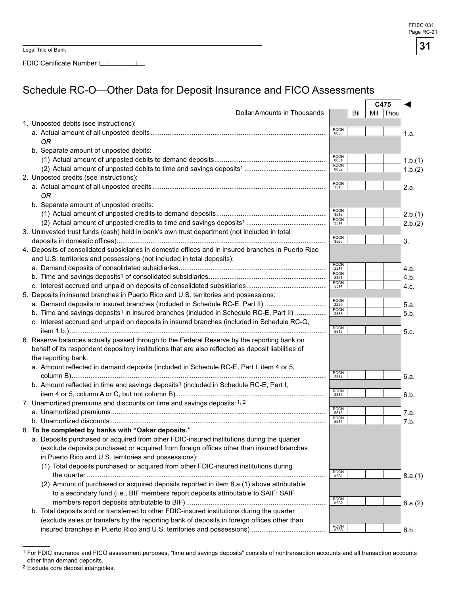FDIC Certificate Number

### Schedule RC-O—Other Data for Deposit Insurance and FICO Assessments

|                                                                                                     |                     |     | C475     |         |
|-----------------------------------------------------------------------------------------------------|---------------------|-----|----------|---------|
| Dollar Amounts in Thousands                                                                         |                     | Bil | Mil Thou |         |
| 1. Unposted debits (see instructions):                                                              |                     |     |          |         |
|                                                                                                     | RCON<br>0030        |     |          | 1.a.    |
| <b>OR</b>                                                                                           |                     |     |          |         |
| b. Separate amount of unposted debits:                                                              |                     |     |          |         |
|                                                                                                     | $RCON$ 0031         |     |          | 1.b.(1) |
|                                                                                                     | RCON<br>0032        |     |          | 1.b.(2) |
| 2. Unposted credits (see instructions):                                                             |                     |     |          |         |
|                                                                                                     | RCON<br>3510        |     |          | 2.a.    |
| <b>OR</b>                                                                                           |                     |     |          |         |
| b. Separate amount of unposted credits:                                                             |                     |     |          |         |
|                                                                                                     | RCON<br>3512        |     |          | 2.b.(1) |
|                                                                                                     | RCON<br>3514        |     |          |         |
| 3. Uninvested trust funds (cash) held in bank's own trust department (not included in total         |                     |     |          | 2.b.(2) |
|                                                                                                     | RCON<br>3520        |     |          |         |
|                                                                                                     |                     |     |          | 3.      |
| 4. Deposits of consolidated subsidiaries in domestic offices and in insured branches in Puerto Rico |                     |     |          |         |
| and U.S. territories and possessions (not included in total deposits):                              | $rac{RCON}{2211}$   |     |          |         |
|                                                                                                     |                     |     |          | 4.a.    |
|                                                                                                     | RCON<br>2351        |     |          | 4.b.    |
|                                                                                                     | RCON<br>5514        |     |          | 4.c.    |
| 5. Deposits in insured branches in Puerto Rico and U.S. territories and possessions:                |                     |     |          |         |
| a. Demand deposits in insured branches (included in Schedule RC-E, Part II)                         | $\frac{RCON}{2229}$ |     |          | 5.a.    |
| b. Time and savings deposits <sup>1</sup> in insured branches (included in Schedule RC-E, Part II)  | RCON<br>2383        |     |          | 5.b.    |
| c. Interest accrued and unpaid on deposits in insured branches (included in Schedule RC-G,          |                     |     |          |         |
|                                                                                                     | RCON<br>5515        |     |          | 5.c.    |
| 6. Reserve balances actually passed through to the Federal Reserve by the reporting bank on         |                     |     |          |         |
| behalf of its respondent depository institutions that are also reflected as deposit liabilities of  |                     |     |          |         |
| the reporting bank:                                                                                 |                     |     |          |         |
| a. Amount reflected in demand deposits (included in Schedule RC-E, Part I, item 4 or 5,             |                     |     |          |         |
|                                                                                                     | RCON<br>2314        |     |          | 6.a.    |
| b. Amount reflected in time and savings deposits <sup>1</sup> (included in Schedule RC-E, Part I,   |                     |     |          |         |
|                                                                                                     | RCON<br>2315        |     |          | 6.b.    |
| 7. Unamortized premiums and discounts on time and savings deposits: 1, 2                            |                     |     |          |         |
|                                                                                                     | RCON<br>5516        |     |          | 7.a.    |
|                                                                                                     | RCON<br>5517        |     |          | 7.b.    |
| 8. To be completed by banks with "Oakar deposits."                                                  |                     |     |          |         |
| a. Deposits purchased or acquired from other FDIC-insured institutions during the quarter           |                     |     |          |         |
| (exclude deposits purchased or acquired from foreign offices other than insured branches            |                     |     |          |         |
|                                                                                                     |                     |     |          |         |
| in Puerto Rico and U.S. territories and possessions):                                               |                     |     |          |         |
| (1) Total deposits purchased or acquired from other FDIC-insured institutions during                |                     |     |          |         |
|                                                                                                     | RCON<br>A531        |     |          | 8.a.(1) |
| (2) Amount of purchased or acquired deposits reported in item 8.a.(1) above attributable            |                     |     |          |         |
| to a secondary fund (i.e., BIF members report deposits attributable to SAIF; SAIF                   |                     |     |          |         |
|                                                                                                     | RCON<br>A532        |     |          | 8.a.(2) |
| b. Total deposits sold or transferred to other FDIC-insured institutions during the quarter         |                     |     |          |         |
| (exclude sales or transfers by the reporting bank of deposits in foreign offices other than         |                     |     |          |         |
|                                                                                                     | RCON<br>A533        |     |          | 8.b.    |

2 Exclude core deposit intangibles.

<sup>1</sup> For FDIC insurance and FICO assessment purposes, "time and savings deposits" consists of nontransaction accounts and all transaction accounts other than demand deposits.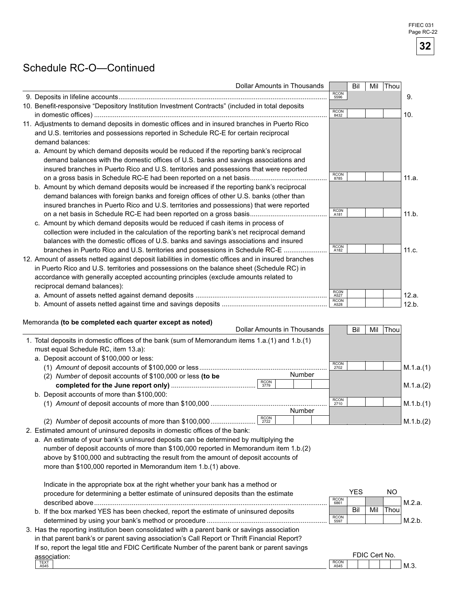**FFIEC 031** Page RC-22

**32** 

### Schedule RC-O—Continued

| Dollar Amounts in Thousands                                                                         |                     | Bil        | Thou<br>Mil |           |
|-----------------------------------------------------------------------------------------------------|---------------------|------------|-------------|-----------|
|                                                                                                     | RCON<br>5596        |            |             | 9.        |
| 10. Benefit-responsive "Depository Institution Investment Contracts" (included in total deposits    |                     |            |             |           |
|                                                                                                     | <b>RCON</b><br>8432 |            |             | 10.       |
| 11. Adjustments to demand deposits in domestic offices and in insured branches in Puerto Rico       |                     |            |             |           |
| and U.S. territories and possessions reported in Schedule RC-E for certain reciprocal               |                     |            |             |           |
| demand balances:                                                                                    |                     |            |             |           |
| a. Amount by which demand deposits would be reduced if the reporting bank's reciprocal              |                     |            |             |           |
| demand balances with the domestic offices of U.S. banks and savings associations and                |                     |            |             |           |
| insured branches in Puerto Rico and U.S. territories and possessions that were reported             |                     |            |             |           |
|                                                                                                     | RCON<br>8785        |            |             | 11.a.     |
| b. Amount by which demand deposits would be increased if the reporting bank's reciprocal            |                     |            |             |           |
| demand balances with foreign banks and foreign offices of other U.S. banks (other than              |                     |            |             |           |
| insured branches in Puerto Rico and U.S. territories and possessions) that were reported            |                     |            |             |           |
|                                                                                                     | <b>RCON</b>         |            |             | 11.b.     |
| c. Amount by which demand deposits would be reduced if cash items in process of                     |                     |            |             |           |
| collection were included in the calculation of the reporting bank's net reciprocal demand           |                     |            |             |           |
| balances with the domestic offices of U.S. banks and savings associations and insured               |                     |            |             |           |
| branches in Puerto Rico and U.S. territories and possessions in Schedule RC-E                       | RCON<br>A182        |            |             | 11.c.     |
| 12. Amount of assets netted against deposit liabilities in domestic offices and in insured branches |                     |            |             |           |
| in Puerto Rico and U.S. territories and possessions on the balance sheet (Schedule RC) in           |                     |            |             |           |
| accordance with generally accepted accounting principles (exclude amounts related to                |                     |            |             |           |
| reciprocal demand balances):                                                                        |                     |            |             |           |
|                                                                                                     | RC0N<br>A527        |            |             | 12.a.     |
|                                                                                                     | <b>RCON</b>         |            |             | 12.b.     |
| Memoranda (to be completed each quarter except as noted)                                            |                     |            |             |           |
| <b>Dollar Amounts in Thousands</b>                                                                  |                     | Bil        | Thou<br>Mil |           |
| 1. Total deposits in domestic offices of the bank (sum of Memorandum items 1.a.(1) and 1.b.(1)      |                     |            |             |           |
| must equal Schedule RC, item 13.a):<br>a. Deposit account of \$100,000 or less:                     |                     |            |             |           |
|                                                                                                     | RCON<br>2702        |            |             | M.1.a.(1) |
| Number<br>(2) Number of deposit accounts of \$100,000 or less (to be                                |                     |            |             |           |
| RCON<br>3779                                                                                        |                     |            |             | M.1.a.(2) |
| b. Deposit accounts of more than \$100,000:                                                         |                     |            |             |           |
|                                                                                                     | RCON<br>2710        |            |             | M.1.b.(1) |
| Number                                                                                              |                     |            |             |           |
| <b>RCON</b><br>(2) Number of deposit accounts of more than \$100,000<br>2722                        |                     |            |             | M.1.b.(2) |
| 2. Estimated amount of uninsured deposits in domestic offices of the bank:                          |                     |            |             |           |
| a. An estimate of your bank's uninsured deposits can be determined by multiplying the               |                     |            |             |           |
| number of deposit accounts of more than \$100,000 reported in Memorandum item 1.b.(2)               |                     |            |             |           |
| above by \$100,000 and subtracting the result from the amount of deposit accounts of                |                     |            |             |           |
| more than \$100,000 reported in Memorandum item 1.b.(1) above.                                      |                     |            |             |           |
|                                                                                                     |                     |            |             |           |
| Indicate in the appropriate box at the right whether your bank has a method or                      |                     |            |             |           |
| procedure for determining a better estimate of uninsured deposits than the estimate                 |                     | <b>YES</b> | <b>NO</b>   |           |
|                                                                                                     | <b>RCON</b><br>6861 |            |             | M.2.a.    |
| b. If the box marked YES has been checked, report the estimate of uninsured deposits                |                     | Bil        | Thou<br>Mil |           |
|                                                                                                     | <b>RCON</b><br>5597 |            |             | M.2.b.    |
| 3. Has the reporting institution been consolidated with a parent bank or savings association        |                     |            |             |           |
|                                                                                                     |                     |            |             |           |
| in that parent bank's or parent saving association's Call Report or Thrift Financial Report?        |                     |            |             |           |

| associat<br>$  -$<br>uu. |                     | ш | .er | No. |       |
|--------------------------|---------------------|---|-----|-----|-------|
| TEXT<br>A545             | <b>RCOM</b><br>A545 |   |     |     | ن:MI' |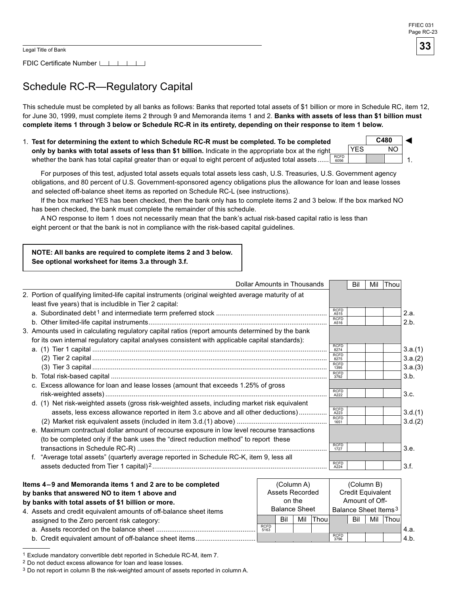FDIC Certificate Number [16]

### Schedule RC-R—Regulatory Capital

This schedule must be completed by all banks as follows: Banks that reported total assets of \$1 billion or more in Schedule RC, item 12, for June 30, 1999, must complete items 2 through 9 and Memoranda items 1 and 2. Banks with assets of less than \$1 billion must complete items 1 through 3 below or Schedule RC-R in its entirety, depending on their response to item 1 below.

1. Test for determining the extent to which Schedule RC-R must be completed. To be completed **only by banks with total assets of less than \$1 billion.** Indicate in the appropriate box at the right whether the bank has total capital greater than or equal to eight percent of adjusted total assets ...... <u>RCFD</u> **C480** 1. ◄ YES NO

For purposes of this test, adjusted total assets equals total assets less cash, U.S. Treasuries, U.S. Government agency obligations, and 80 percent of U.S. Government-sponsored agency obligations plus the allowance for loan and lease losses and selected off-balance sheet items as reported on Schedule RC-L (see instructions).

If the box marked YES has been checked, then the bank only has to complete items 2 and below. If the box marked NO has been checked, the bank must complete the remainder of this schedule.

A NO response to item 1 does not necessarily mean that the bank's actual risk-based capital ratio is less than eight percent or that the bank is not in compliance with the risk-based capital guidelines.

#### **NOTE: All banks are required to complete items 2 and 3 below. See optional worksheet for items 3.a through 3.f.**

| <b>Dollar Amounts in Thousands</b>                                                                                                                             |                     | Bil | Mil | Thor |         |
|----------------------------------------------------------------------------------------------------------------------------------------------------------------|---------------------|-----|-----|------|---------|
| 2. Portion of qualifying limited-life capital instruments (original weighted average maturity of at<br>least five years) that is includible in Tier 2 capital: |                     |     |     |      |         |
|                                                                                                                                                                | <b>RCFD</b><br>A515 |     |     |      | 2.a.    |
|                                                                                                                                                                | <b>RCFD</b><br>A516 |     |     |      | 2.b.    |
| 3. Amounts used in calculating regulatory capital ratios (report amounts determined by the bank                                                                |                     |     |     |      |         |
| for its own internal regulatory capital analyses consistent with applicable capital standards):                                                                | <b>RCFD</b><br>8274 |     |     |      | 3.a.(1) |
|                                                                                                                                                                | <b>RCFD</b><br>8275 |     |     |      | 3.a.(2) |
|                                                                                                                                                                | <b>RCFD</b><br>1395 |     |     |      | 3.a.(3) |
|                                                                                                                                                                | <b>RCFD</b><br>3792 |     |     |      | 3.b.    |
| c. Excess allowance for loan and lease losses (amount that exceeds 1.25% of gross                                                                              |                     |     |     |      |         |
|                                                                                                                                                                | <b>RCFD</b><br>A222 |     |     |      | 3.c.    |
| d. (1) Net risk-weighted assets (gross risk-weighted assets, including market risk equivalent                                                                  |                     |     |     |      |         |
| assets, less excess allowance reported in item 3.c above and all other deductions)                                                                             | <b>RCFD</b><br>A223 |     |     |      | 3.d.(1) |
|                                                                                                                                                                | <b>RCFD</b><br>1651 |     |     |      | 3.d.(2) |
| e. Maximum contractual dollar amount of recourse exposure in low level recourse transactions                                                                   |                     |     |     |      |         |
| (to be completed only if the bank uses the "direct reduction method" to report these                                                                           |                     |     |     |      |         |
|                                                                                                                                                                | <b>RCFD</b><br>1727 |     |     |      | 3.e.    |
| f. "Average total assets" (quarterly average reported in Schedule RC-K, item 9, less all                                                                       |                     |     |     |      |         |
|                                                                                                                                                                | <b>RCFD</b><br>A224 |     |     |      | 3.f.    |

| Items 4–9 and Memoranda items 1 and 2 are to be completed          |                      |                        | (Column A) |       | (Column B)                       |                          |     |      |        |
|--------------------------------------------------------------------|----------------------|------------------------|------------|-------|----------------------------------|--------------------------|-----|------|--------|
| by banks that answered NO to item 1 above and                      |                      | <b>Assets Recorded</b> |            |       |                                  | <b>Credit Equivalent</b> |     |      |        |
| by banks with total assets of \$1 billion or more.                 |                      |                        | on the     |       |                                  | Amount of Off-           |     |      |        |
| 4. Assets and credit equivalent amounts of off-balance sheet items | <b>Balance Sheet</b> |                        |            |       | Balance Sheet Items <sup>3</sup> |                          |     |      |        |
| assigned to the Zero percent risk category:                        |                      | Bil                    | Mil        | Thoul |                                  | Bil                      | Mil | Thou |        |
|                                                                    | <b>RCFD</b><br>5163  |                        |            |       |                                  |                          |     |      | ™4.a.  |
| b. Credit equivalent amount of off-balance sheet items             |                      |                        |            |       | <b>RCFD</b><br>3796              |                          |     |      | l 4.b. |

<sup>1</sup> Exclude mandatory convertible debt reported in Schedule RC-M, item 7.

<sup>2</sup> Do not deduct excess allowance for loan and lease losses.

<sup>&</sup>lt;sup>3</sup> Do not report in column B the risk-weighted amount of assets reported in column A.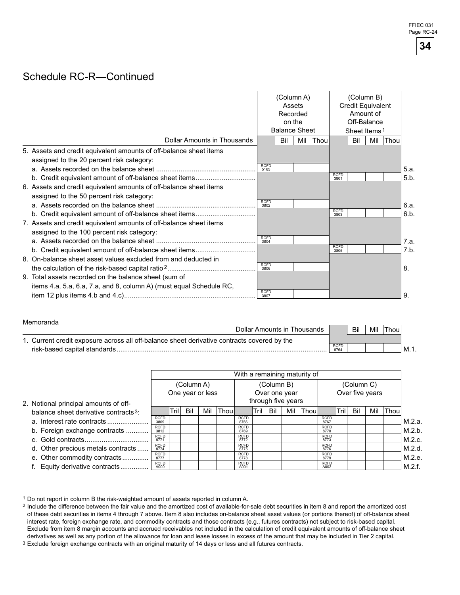### Schedule RC-R—Continued

|                                                                                                                  | (Column A)<br>Assets<br>Recorded<br>on the<br><b>Balance Sheet</b> |     |     |      | (Column B)<br>Credit Equivalent<br>Amount of<br>Off-Balance<br>Sheet Items <sup>1</sup> |     |     |      |      |
|------------------------------------------------------------------------------------------------------------------|--------------------------------------------------------------------|-----|-----|------|-----------------------------------------------------------------------------------------|-----|-----|------|------|
| Dollar Amounts in Thousands                                                                                      |                                                                    | Bil | Mil | Thou |                                                                                         | Bil | Mil | Thou |      |
| 5. Assets and credit equivalent amounts of off-balance sheet items<br>assigned to the 20 percent risk category:  | <b>RCFD</b><br>5165                                                |     |     |      |                                                                                         |     |     |      | 5.a. |
|                                                                                                                  |                                                                    |     |     |      | <b>RCFD</b><br>3801                                                                     |     |     |      | 5.b. |
| 6. Assets and credit equivalent amounts of off-balance sheet items<br>assigned to the 50 percent risk category:  |                                                                    |     |     |      |                                                                                         |     |     |      |      |
|                                                                                                                  | <b>RCFD</b><br>3802                                                |     |     |      |                                                                                         |     |     |      | 6.a. |
|                                                                                                                  |                                                                    |     |     |      | <b>RCFD</b><br>3803                                                                     |     |     |      | 6.b. |
| 7. Assets and credit equivalent amounts of off-balance sheet items<br>assigned to the 100 percent risk category: |                                                                    |     |     |      |                                                                                         |     |     |      |      |
|                                                                                                                  | <b>RCFD</b><br>3804                                                |     |     |      |                                                                                         |     |     |      | 7.a. |
|                                                                                                                  |                                                                    |     |     |      | <b>RCFD</b><br>3805                                                                     |     |     |      | 7.b. |
| 8. On-balance sheet asset values excluded from and deducted in                                                   |                                                                    |     |     |      |                                                                                         |     |     |      |      |
|                                                                                                                  | <b>RCFD</b><br>3806                                                |     |     |      |                                                                                         |     |     |      | 8.   |
| 9. Total assets recorded on the balance sheet (sum of                                                            |                                                                    |     |     |      |                                                                                         |     |     |      |      |
| items 4.a, 5.a, 6.a, 7.a, and 8, column A) (must equal Schedule RC,                                              |                                                                    |     |     |      |                                                                                         |     |     |      |      |
|                                                                                                                  | <b>RCFD</b><br>3807                                                |     |     |      |                                                                                         |     |     |      | 9    |

#### Memoranda

| Dollar Amounts in Thousands                                                                 |                     | Bil | Mil | Thou. |        |
|---------------------------------------------------------------------------------------------|---------------------|-----|-----|-------|--------|
| 1. Current credit exposure across all off-balance sheet derivative contracts covered by the |                     |     |     |       |        |
| risk-based capital standards.                                                               | <b>RCFD</b><br>8764 |     |     |       | ' M.1. |

|                                                   | With a remaining maturity of |            |     |                  |            |                     |      |     |                    |       |                     |      |     |                 |      |        |
|---------------------------------------------------|------------------------------|------------|-----|------------------|------------|---------------------|------|-----|--------------------|-------|---------------------|------|-----|-----------------|------|--------|
|                                                   |                              | (Column A) |     |                  | (Column B) |                     |      |     | (Column C)         |       |                     |      |     |                 |      |        |
|                                                   |                              |            |     | One year or less |            |                     |      |     | Over one year      |       |                     |      |     | Over five years |      |        |
| 2. Notional principal amounts of off-             |                              |            |     |                  |            |                     |      |     | through five years |       |                     |      |     |                 |      |        |
| balance sheet derivative contracts <sup>3</sup> : |                              | Tril       | Bil | Mil              | Thoul      |                     | Tril | Bil | Mil                | Thoul |                     | Tril | Bil | Mil             | Thou |        |
|                                                   | <b>RCFD</b><br>3809          |            |     |                  |            | <b>RCFD</b><br>8766 |      |     |                    |       | <b>RCFD</b><br>8767 |      |     |                 |      | M.2.a. |
| b. Foreign exchange contracts                     | <b>RCFD</b><br>3812          |            |     |                  |            | <b>RCFD</b><br>8769 |      |     |                    |       | <b>RCFD</b><br>8770 |      |     |                 |      | M.2.b. |
|                                                   | <b>RCFD</b><br>8771          |            |     |                  |            | <b>RCFD</b><br>8772 |      |     |                    |       | <b>RCFD</b><br>8773 |      |     |                 |      | M.2.c. |
| d. Other precious metals contracts                | <b>RCFD</b><br>8774          |            |     |                  |            | <b>RCFD</b><br>8775 |      |     |                    |       | <b>RCFD</b><br>8776 |      |     |                 |      | M.2.d. |
| e. Other commodity contracts                      | <b>RCFD</b><br>8777          |            |     |                  |            | <b>RCFD</b><br>8778 |      |     |                    |       | <b>RCFD</b><br>8779 |      |     |                 |      | M.2.e. |
| Equity derivative contracts                       | <b>RCFD</b><br>A000          |            |     |                  |            | <b>RCFD</b><br>A001 |      |     |                    |       | <b>RCFD</b><br>A002 |      |     |                 |      | M.2.f. |

<sup>1</sup> Do not report in column B the risk-weighted amount of assets reported in column A.

**34** 

<sup>&</sup>lt;sup>2</sup> Include the difference between the fair value and the amortized cost of available-for-sale debt securities in item 8 and report the amortized cost of these debt securities in items 4 through 7 above. Item 8 also includes on-balance sheet asset values (or portions thereof) of off-balance sheet interest rate, foreign exchange rate, and commodity contracts and those contracts (e.g., futures contracts) not subject to risk-based capital. Exclude from item 8 margin accounts and accrued receivables not included in the calculation of credit equivalent amounts of off-balance sheet derivatives as well as any portion of the allowance for loan and lease losses in excess of the amount that may be included in Tier 2 capital.

<sup>&</sup>lt;sup>3</sup> Exclude foreign exchange contracts with an original maturity of 14 days or less and all futures contracts.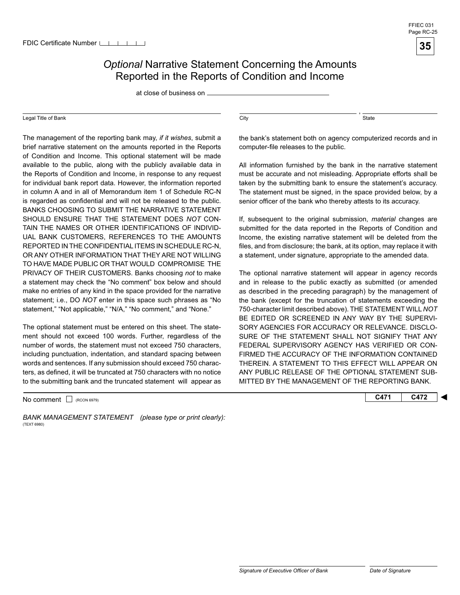

### **Optional Narrative Statement Concerning the Amounts** Reported in the Reports of Condition and Income

at close of business on

#### Legal Title of Bank

 TO HAVE MADE PUBLIC OR THAT WOULD COMPROMISE THE The management of the reporting bank may, *if it wishes*, submit a brief narrative statement on the amounts reported in the Reports of Condition and Income. This optional statement will be made available to the public, along with the publicly available data in the Reports of Condition and Income, in response to any request for individual bank report data. However, the information reported in column A and in all of Memorandum item 1 of Schedule RC-N is regarded as confidential and will not be released to the public. BANKS CHOOSING TO SUBMIT THE NARRATIVE STATEMENT SHOULD ENSURE THAT THE STATEMENT DOES *NOT* CON-TAIN THE NAMES OR OTHER IDENTIFICATIONS OF INDIVID-UAL BANK CUSTOMERS, REFERENCES TO THE AMOUNTS REPORTED IN THE CONFIDENTIAL ITEMS IN SCHEDULE RC-N, OR ANY OTHER INFORMATION THAT THEY ARE NOT WILLING PRIVACY OF THEIR CUSTOMERS. Banks choosing *not* to make a statement may check the "No comment" box below and should make no entries of any kind in the space provided for the narrative statement; i.e., DO *NOT* enter in this space such phrases as "No statement," "Not applicable," "N/A," "No comment," and "None."

 to the submitting bank and the truncated statement will appear as The optional statement must be entered on this sheet. The statement should not exceed 100 words. Further, regardless of the number of words, the statement must not exceed 750 characters, including punctuation, indentation, and standard spacing between words and sentences. If any submission should exceed 750 characters, as defined, it will be truncated at 750 characters with no notice

No comment □ (RCON 6979) **C472 C472** 

BANK MANAGEMENT STATEMENT (please type or print clearly): (TEXT 6980)

 $\overline{\text{City}}$ ,  $\overline{\text{State}}$ 

the bank's statement both on agency computerized records and in computer-file releases to the public.

All information furnished by the bank in the narrative statement must be accurate and not misleading. Appropriate efforts shall be taken by the submitting bank to ensure the statement's accuracy. The statement must be signed, in the space provided below, by a senior officer of the bank who thereby attests to its accuracy.

If, subsequent to the original submission, *material* changes are submitted for the data reported in the Reports of Condition and Income, the existing narrative statement will be deleted from the files, and from disclosure; the bank, at its option, may replace it with a statement, under signature, appropriate to the amended data.

The optional narrative statement will appear in agency records and in release to the public exactly as submitted (or amended as described in the preceding paragraph) by the management of the bank (except for the truncation of statements exceeding the 750-character limit described above). THE STATEMENT WILL *NOT*  BE EDITED OR SCREENED IN ANY WAY BY THE SUPERVI-SORY AGENCIES FOR ACCURACY OR RELEVANCE. DISCLO-SURE OF THE STATEMENT SHALL NOT SIGNIFY THAT ANY FEDERAL SUPERVISORY AGENCY HAS VERIFIED OR CON-FIRMED THE ACCURACY OF THE INFORMATION CONTAINED THEREIN. A STATEMENT TO THIS EFFECT WILL APPEAR ON ANY PUBLIC RELEASE OF THE OPTIONAL STATEMENT SUB-MITTED BY THE MANAGEMENT OF THE REPORTING BANK.